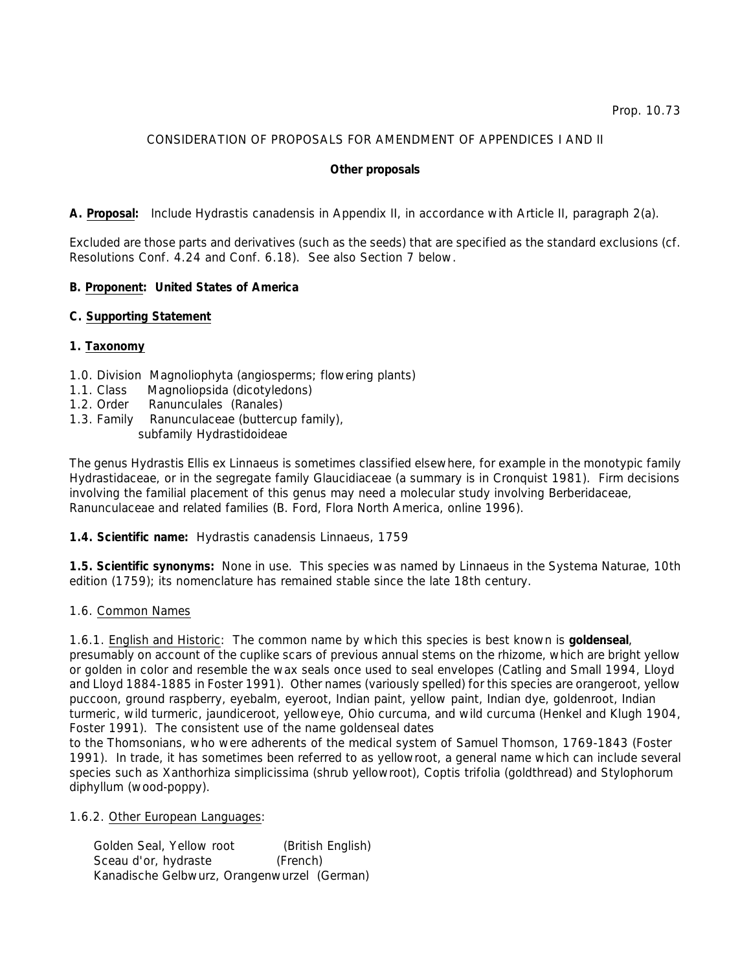# CONSIDERATION OF PROPOSALS FOR AMENDMENT OF APPENDICES I AND II

#### **Other proposals**

# **A. Proposal:** Include *Hydrastis canadensis* in Appendix II, in accordance with Article II, paragraph 2(a).

Excluded are those parts and derivatives (such as the seeds) that are specified as the standard exclusions (*cf*. Resolutions Conf. 4.24 and Conf. 6.18). See also Section 7 below.

# **B. Proponent: United States of America**

#### **C. Supporting Statement**

#### **1. Taxonomy**

- 1.0. Division Magnoliophyta (angiosperms; flowering plants)
- 1.1. Class Magnoliopsida (dicotyledons)
- 1.2. Order Ranunculales (Ranales)
- 1.3. Family Ranunculaceae (buttercup family), subfamily Hydrastidoideae

The genus *Hydrastis* Ellis *ex* Linnaeus is sometimes classified elsewhere, for example in the monotypic family Hydrastidaceae, or in the segregate family Glaucidiaceae (a summary is in Cronquist 1981). Firm decisions involving the familial placement of this genus may need a molecular study involving Berberidaceae, Ranunculaceae and related families (B. Ford, Flora North America, online 1996).

# **1.4. Scientific name:** *Hydrastis canadensis* Linnaeus, 1759

**1.5. Scientific synonyms:** None in use. This species was named by Linnaeus in the *Systema Naturae*, 10th edition (1759); its nomenclature has remained stable since the late 18th century.

#### 1.6. Common Names

1.6.1. English and Historic: The common name by which this species is best known is **goldenseal**, presumably on account of the cuplike scars of previous annual stems on the rhizome, which are bright yellow or golden in color and resemble the wax seals once used to seal envelopes (Catling and Small 1994, Lloyd and Lloyd 1884-1885 in Foster 1991). Other names (variously spelled) for this species are orangeroot, yellow puccoon, ground raspberry, eyebalm, eyeroot, Indian paint, yellow paint, Indian dye, goldenroot, Indian turmeric, wild turmeric, jaundiceroot, yelloweye, Ohio curcuma, and wild curcuma (Henkel and Klugh 1904, Foster 1991). The consistent use of the name goldenseal dates

to the Thomsonians, who were adherents of the medical system of Samuel Thomson, 1769-1843 (Foster 1991). In trade, it has sometimes been referred to as yellowroot, a general name which can include several species such as *Xanthorhiza simplicissima* (shrub yellowroot), *Coptis trifolia* (goldthread) and *Stylophorum diphyllum* (wood-poppy).

1.6.2. Other European Languages:

 Golden Seal, Yellow root (British English) Sceau d'or, hydraste (French) Kanadische Gelbwurz, Orangenwurzel (German)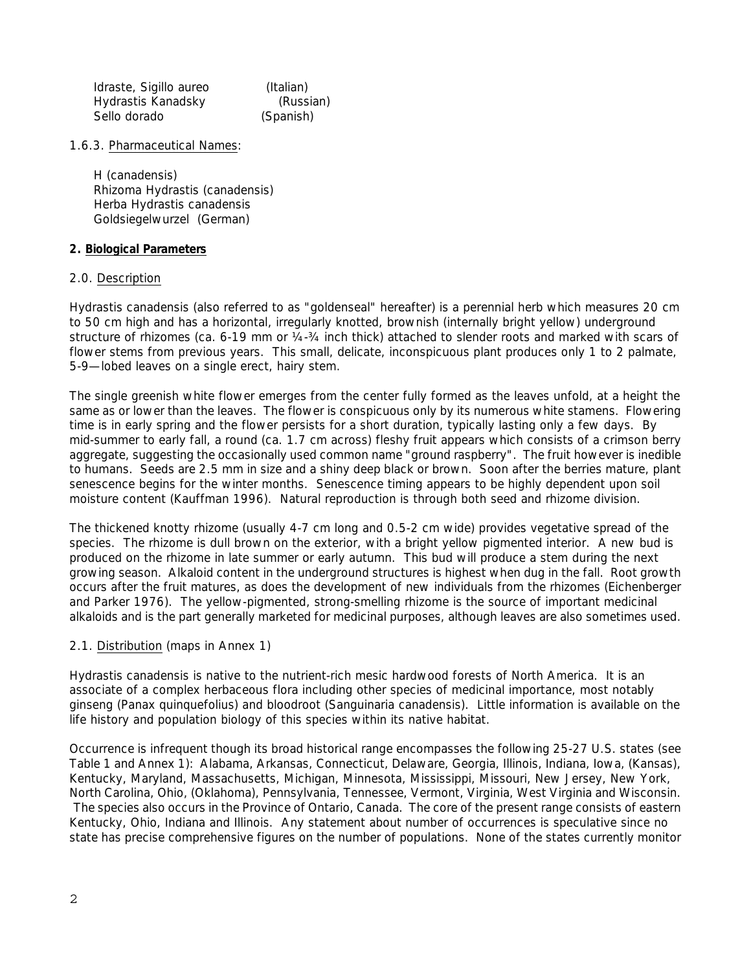Idraste, Sigillo aureo (Italian) Hydrastis Kanadsky (Russian) Sello dorado (Spanish)

1.6.3. Pharmaceutical Names:

 H (canadensis) Rhizoma Hydrastis (canadensis) Herba Hydrastis canadensis Goldsiegelwurzel (German)

## **2. Biological Parameters**

#### 2.0. Description

*Hydrastis canadensis* (also referred to as "goldenseal" hereafter) is a perennial herb which measures 20 cm to 50 cm high and has a horizontal, irregularly knotted, brownish (internally bright yellow) underground structure of rhizomes (ca. 6-19 mm or  $\frac{1}{4} - \frac{3}{4}$  inch thick) attached to slender roots and marked with scars of flower stems from previous years. This small, delicate, inconspicuous plant produces only 1 to 2 palmate, 5-9—lobed leaves on a single erect, hairy stem.

The single greenish white flower emerges from the center fully formed as the leaves unfold, at a height the same as or lower than the leaves. The flower is conspicuous only by its numerous white stamens. Flowering time is in early spring and the flower persists for a short duration, typically lasting only a few days. By mid-summer to early fall, a round (ca. 1.7 cm across) fleshy fruit appears which consists of a crimson berry aggregate, suggesting the occasionally used common name "ground raspberry". The fruit however is inedible to humans. Seeds are 2.5 mm in size and a shiny deep black or brown. Soon after the berries mature, plant senescence begins for the winter months. Senescence timing appears to be highly dependent upon soil moisture content (Kauffman 1996). Natural reproduction is through both seed and rhizome division.

The thickened knotty rhizome (usually 4-7 cm long and 0.5-2 cm wide) provides vegetative spread of the species. The rhizome is dull brown on the exterior, with a bright yellow pigmented interior. A new bud is produced on the rhizome in late summer or early autumn. This bud will produce a stem during the next growing season. Alkaloid content in the underground structures is highest when dug in the fall. Root growth occurs after the fruit matures, as does the development of new individuals from the rhizomes (Eichenberger and Parker 1976). The yellow-pigmented, strong-smelling rhizome is the source of important medicinal alkaloids and is the part generally marketed for medicinal purposes, although leaves are also sometimes used.

# 2.1. Distribution (maps in Annex 1)

*Hydrastis canadensis* is native to the nutrient-rich mesic hardwood forests of North America. It is an associate of a complex herbaceous flora including other species of medicinal importance, most notably ginseng (*Panax quinquefolius*) and bloodroot (*Sanguinaria canadensis*). Little information is available on the life history and population biology of this species within its native habitat.

Occurrence is infrequent though its broad historical range encompasses the following 25-27 U.S. states (see Table 1 and Annex 1): Alabama, Arkansas, Connecticut, Delaware, Georgia, Illinois, Indiana, Iowa, (Kansas), Kentucky, Maryland, Massachusetts, Michigan, Minnesota, Mississippi, Missouri, New Jersey, New York, North Carolina, Ohio, (Oklahoma), Pennsylvania, Tennessee, Vermont, Virginia, West Virginia and Wisconsin. The species also occurs in the Province of Ontario, Canada. The core of the present range consists of eastern Kentucky, Ohio, Indiana and Illinois. Any statement about number of occurrences is speculative since no state has precise comprehensive figures on the number of populations. None of the states currently monitor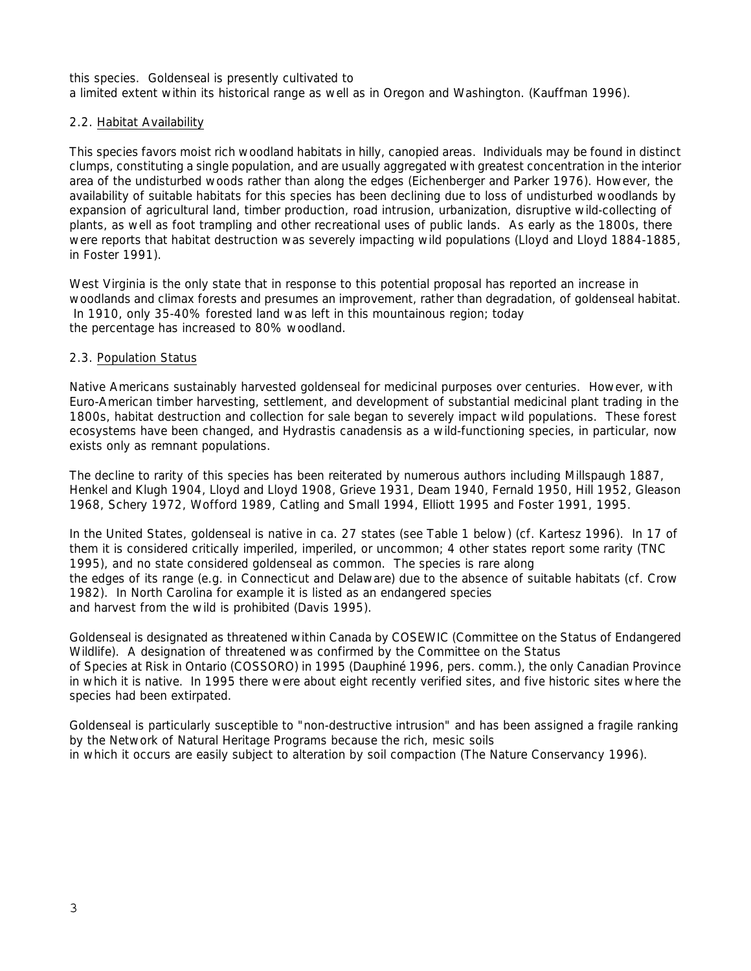this species. Goldenseal is presently cultivated to a limited extent within its historical range as well as in Oregon and Washington. (Kauffman 1996).

#### 2.2. Habitat Availability

This species favors moist rich woodland habitats in hilly, canopied areas. Individuals may be found in distinct clumps, constituting a single population, and are usually aggregated with greatest concentration in the interior area of the undisturbed woods rather than along the edges (Eichenberger and Parker 1976). However, the availability of suitable habitats for this species has been declining due to loss of undisturbed woodlands by expansion of agricultural land, timber production, road intrusion, urbanization, disruptive wild-collecting of plants, as well as foot trampling and other recreational uses of public lands. As early as the 1800s, there were reports that habitat destruction was severely impacting wild populations (Lloyd and Lloyd 1884-1885, in Foster 1991).

West Virginia is the only state that in response to this potential proposal has reported an increase in woodlands and climax forests and presumes an improvement, rather than degradation, of goldenseal habitat. In 1910, only 35-40% forested land was left in this mountainous region; today the percentage has increased to 80% woodland.

#### 2.3. Population Status

Native Americans sustainably harvested goldenseal for medicinal purposes over centuries. However, with Euro-American timber harvesting, settlement, and development of substantial medicinal plant trading in the 1800s, habitat destruction and collection for sale began to severely impact wild populations. These forest ecosystems have been changed, and *Hydrastis canadensis* as a wild-functioning species, in particular, now exists only as remnant populations.

The decline to rarity of this species has been reiterated by numerous authors including Millspaugh 1887, Henkel and Klugh 1904, Lloyd and Lloyd 1908, Grieve 1931, Deam 1940, Fernald 1950, Hill 1952, Gleason 1968, Schery 1972, Wofford 1989, Catling and Small 1994, Elliott 1995 and Foster 1991, 1995.

In the United States, goldenseal is native in ca. 27 states (see Table 1 below) (*cf*. Kartesz 1996). In 17 of them it is considered critically imperiled, imperiled, or uncommon; 4 other states report some rarity (TNC 1995), and no state considered goldenseal as common. The species is rare along the edges of its range (*e*.*g*. in Connecticut and Delaware) due to the absence of suitable habitats (*cf*. Crow 1982). In North Carolina for example it is listed as an endangered species and harvest from the wild is prohibited (Davis 1995).

Goldenseal is designated as threatened within Canada by COSEWIC (Committee on the Status of Endangered Wildlife). A designation of threatened was confirmed by the Committee on the Status of Species at Risk in Ontario (COSSORO) in 1995 (Dauphiné 1996, pers. comm.), the only Canadian Province in which it is native. In 1995 there were about eight recently verified sites, and five historic sites where the species had been extirpated.

Goldenseal is particularly susceptible to "non-destructive intrusion" and has been assigned a fragile ranking by the Network of Natural Heritage Programs because the rich, mesic soils in which it occurs are easily subject to alteration by soil compaction (The Nature Conservancy 1996).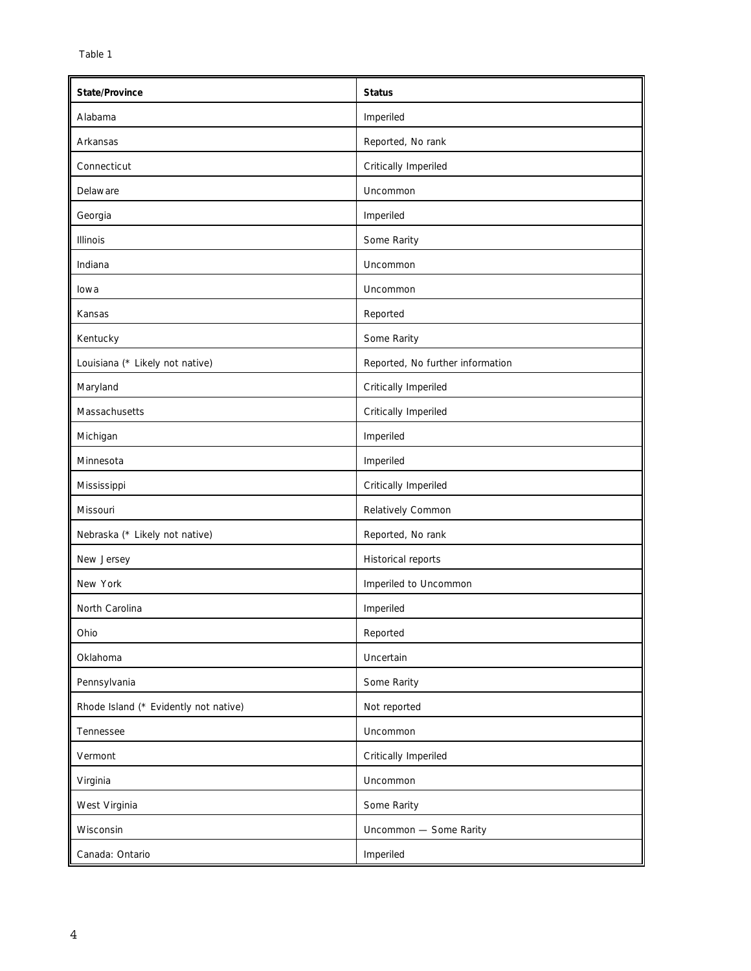| State/Province                        | <b>Status</b>                    |
|---------------------------------------|----------------------------------|
| Alabama                               | Imperiled                        |
| Arkansas                              | Reported, No rank                |
| Connecticut                           | Critically Imperiled             |
| Delaware                              | Uncommon                         |
| Georgia                               | Imperiled                        |
| Illinois                              | Some Rarity                      |
| Indiana                               | Uncommon                         |
| lowa                                  | Uncommon                         |
| Kansas                                | Reported                         |
| Kentucky                              | Some Rarity                      |
| Louisiana (* Likely not native)       | Reported, No further information |
| Maryland                              | Critically Imperiled             |
| Massachusetts                         | Critically Imperiled             |
| Michigan                              | Imperiled                        |
| Minnesota                             | Imperiled                        |
| Mississippi                           | Critically Imperiled             |
| Missouri                              | Relatively Common                |
| Nebraska (* Likely not native)        | Reported, No rank                |
| New Jersey                            | Historical reports               |
| New York                              | Imperiled to Uncommon            |
| North Carolina                        | Imperiled                        |
| Ohio                                  | Reported                         |
| Oklahoma                              | Uncertain                        |
| Pennsylvania                          | Some Rarity                      |
| Rhode Island (* Evidently not native) | Not reported                     |
| Tennessee                             | Uncommon                         |
| Vermont                               | Critically Imperiled             |
| Virginia                              | Uncommon                         |
| West Virginia                         | Some Rarity                      |
| Wisconsin                             | Uncommon - Some Rarity           |
| Canada: Ontario                       | Imperiled                        |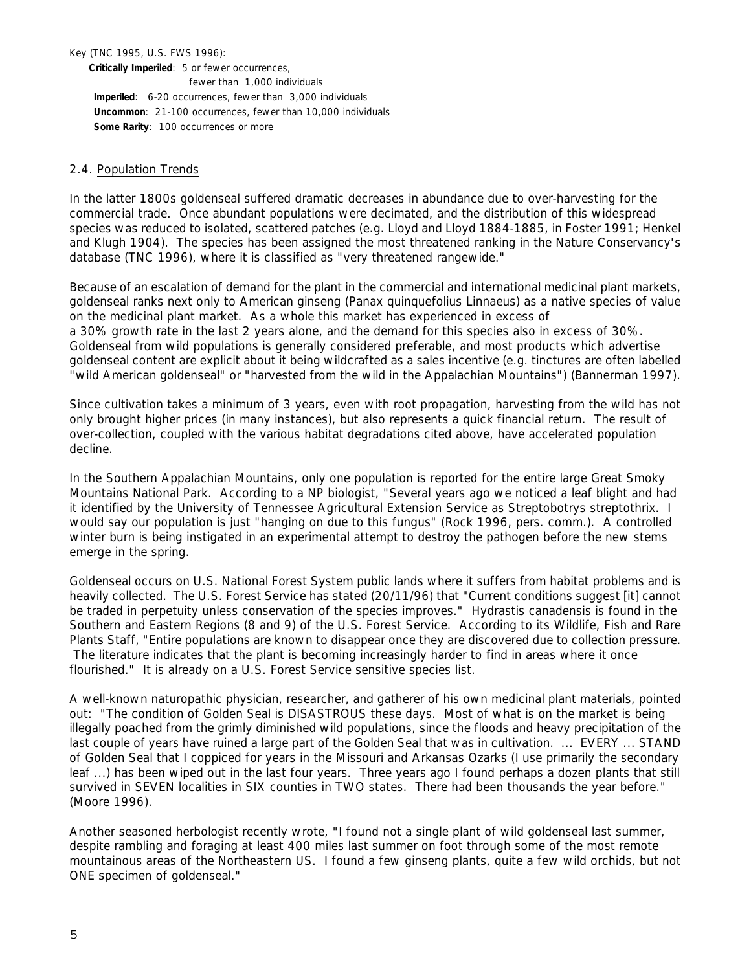Key (TNC 1995, U.S. FWS 1996):

**Critically Imperiled**: 5 or fewer occurrences,

 fewer than 1,000 individuals  **Imperiled**: 6-20 occurrences, fewer than 3,000 individuals  **Uncommon**: 21-100 occurrences, fewer than 10,000 individuals  **Some Rarity**: 100 occurrences or more

#### 2.4. Population Trends

In the latter 1800s goldenseal suffered dramatic decreases in abundance due to over-harvesting for the commercial trade. Once abundant populations were decimated, and the distribution of this widespread species was reduced to isolated, scattered patches (*e*.*g*. Lloyd and Lloyd 1884-1885, in Foster 1991; Henkel and Klugh 1904). The species has been assigned the most threatened ranking in the Nature Conservancy's database (TNC 1996), where it is classified as "very threatened rangewide."

Because of an escalation of demand for the plant in the commercial and international medicinal plant markets, goldenseal ranks next only to American ginseng (*Panax quinquefolius* Linnaeus) as a native species of value on the medicinal plant market. As a whole this market has experienced in excess of a 30% growth rate in the last 2 years alone, and the demand for this species also in excess of 30%. Goldenseal from wild populations is generally considered preferable, and most products which advertise goldenseal content are explicit about it being wildcrafted as a sales incentive (*e*.*g*. tinctures are often labelled "wild American goldenseal" or "harvested from the wild in the Appalachian Mountains") (Bannerman 1997).

Since cultivation takes a minimum of 3 years, even with root propagation, harvesting from the wild has not only brought higher prices (in many instances), but also represents a quick financial return. The result of over-collection, coupled with the various habitat degradations cited above, have accelerated population decline.

In the Southern Appalachian Mountains, only one population is reported for the entire large Great Smoky Mountains National Park. According to a NP biologist, "Several years ago we noticed a leaf blight and had it identified by the University of Tennessee Agricultural Extension Service as *Streptobotrys streptothrix*. I would say our population is just "hanging on due to this fungus" (Rock 1996, pers. comm.). A controlled winter burn is being instigated in an experimental attempt to destroy the pathogen before the new stems emerge in the spring.

Goldenseal occurs on U.S. National Forest System public lands where it suffers from habitat problems and is heavily collected. The U.S. Forest Service has stated (20/11/96) that "Current conditions suggest [it] cannot be traded in perpetuity unless conservation of the species improves." *Hydrastis canadensis* is found in the Southern and Eastern Regions (8 and 9) of the U.S. Forest Service. According to its Wildlife, Fish and Rare Plants Staff, "Entire populations are known to disappear once they are discovered due to collection pressure. The literature indicates that the plant is becoming increasingly harder to find in areas where it once flourished." It is already on a U.S. Forest Service sensitive species list.

A well-known naturopathic physician, researcher, and gatherer of his own medicinal plant materials, pointed out: "The condition of Golden Seal is DISASTROUS these days. Most of what is on the market is being illegally poached from the grimly diminished wild populations, since the floods and heavy precipitation of the last couple of years have ruined a large part of the Golden Seal that was in cultivation. ... EVERY ... STAND of Golden Seal that I coppiced for years in the Missouri and Arkansas Ozarks (I use primarily the secondary leaf ...) has been wiped out in the last four years. Three years ago I found perhaps a dozen plants that still survived in SEVEN localities in SIX counties in TWO states. There had been thousands the year before." (Moore 1996).

Another seasoned herbologist recently wrote, "I found not a single plant of wild goldenseal last summer, despite rambling and foraging at least 400 miles last summer on foot through some of the most remote mountainous areas of the Northeastern US. I found a few ginseng plants, quite a few wild orchids, but not ONE specimen of goldenseal."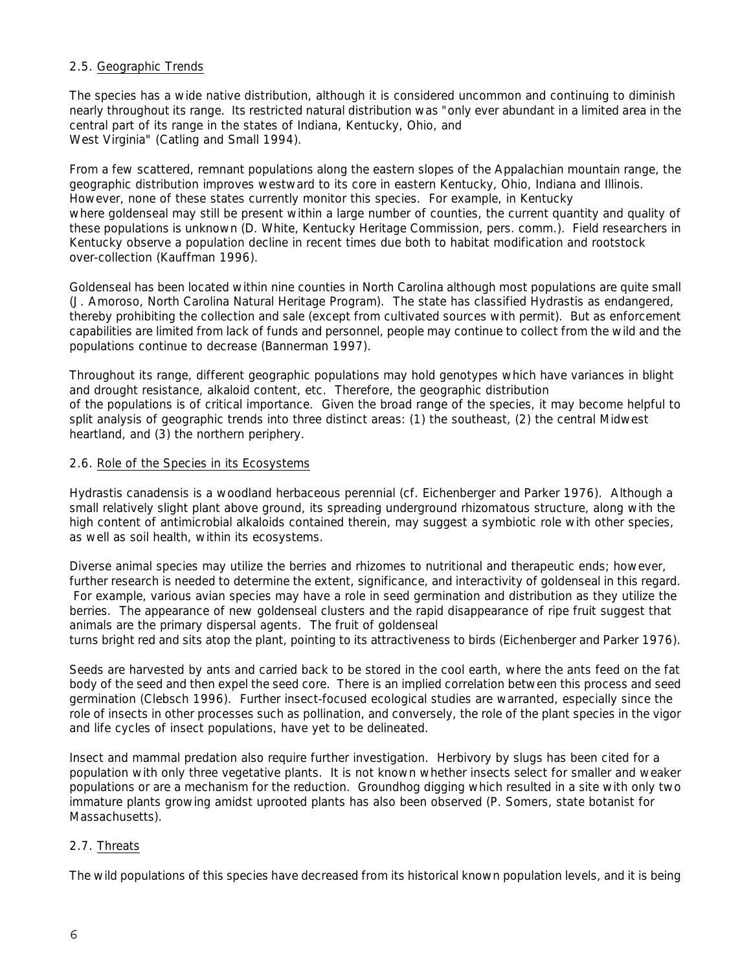# 2.5. Geographic Trends

The species has a wide native distribution, although it is considered uncommon and continuing to diminish nearly throughout its range. Its restricted natural distribution was "only ever abundant in a limited area in the central part of its range in the states of Indiana, Kentucky, Ohio, and West Virginia" (Catling and Small 1994).

From a few scattered, remnant populations along the eastern slopes of the Appalachian mountain range, the geographic distribution improves westward to its core in eastern Kentucky, Ohio, Indiana and Illinois. However, none of these states currently monitor this species. For example, in Kentucky where goldenseal may still be present within a large number of counties, the current quantity and quality of these populations is unknown (D. White, Kentucky Heritage Commission, pers. comm.). Field researchers in Kentucky observe a population decline in recent times due both to habitat modification and rootstock over-collection (Kauffman 1996).

Goldenseal has been located within nine counties in North Carolina although most populations are quite small (J. Amoroso, North Carolina Natural Heritage Program). The state has classified *Hydrastis* as endangered, thereby prohibiting the collection and sale (except from cultivated sources with permit). But as enforcement capabilities are limited from lack of funds and personnel, people may continue to collect from the wild and the populations continue to decrease (Bannerman 1997).

Throughout its range, different geographic populations may hold genotypes which have variances in blight and drought resistance, alkaloid content, *etc*. Therefore, the geographic distribution of the populations is of critical importance. Given the broad range of the species, it may become helpful to split analysis of geographic trends into three distinct areas: (1) the southeast, (2) the central Midwest heartland, and (3) the northern periphery.

# 2.6. Role of the Species in its Ecosystems

*Hydrastis canadensis* is a woodland herbaceous perennial (*cf*. Eichenberger and Parker 1976). Although a small relatively slight plant above ground, its spreading underground rhizomatous structure, along with the high content of antimicrobial alkaloids contained therein, may suggest a symbiotic role with other species, as well as soil health, within its ecosystems.

Diverse animal species may utilize the berries and rhizomes to nutritional and therapeutic ends; however, further research is needed to determine the extent, significance, and interactivity of goldenseal in this regard. For example, various avian species may have a role in seed germination and distribution as they utilize the berries. The appearance of new goldenseal clusters and the rapid disappearance of ripe fruit suggest that animals are the primary dispersal agents. The fruit of goldenseal

turns bright red and sits atop the plant, pointing to its attractiveness to birds (Eichenberger and Parker 1976).

Seeds are harvested by ants and carried back to be stored in the cool earth, where the ants feed on the fat body of the seed and then expel the seed core. There is an implied correlation between this process and seed germination (Clebsch 1996). Further insect-focused ecological studies are warranted, especially since the role of insects in other processes such as pollination, and conversely, the role of the plant species in the vigor and life cycles of insect populations, have yet to be delineated.

Insect and mammal predation also require further investigation. Herbivory by slugs has been cited for a population with only three vegetative plants. It is not known whether insects select for smaller and weaker populations or are a mechanism for the reduction. Groundhog digging which resulted in a site with only two immature plants growing amidst uprooted plants has also been observed (P. Somers, state botanist for Massachusetts).

# 2.7. Threats

The wild populations of this species have decreased from its historical known population levels, and it is being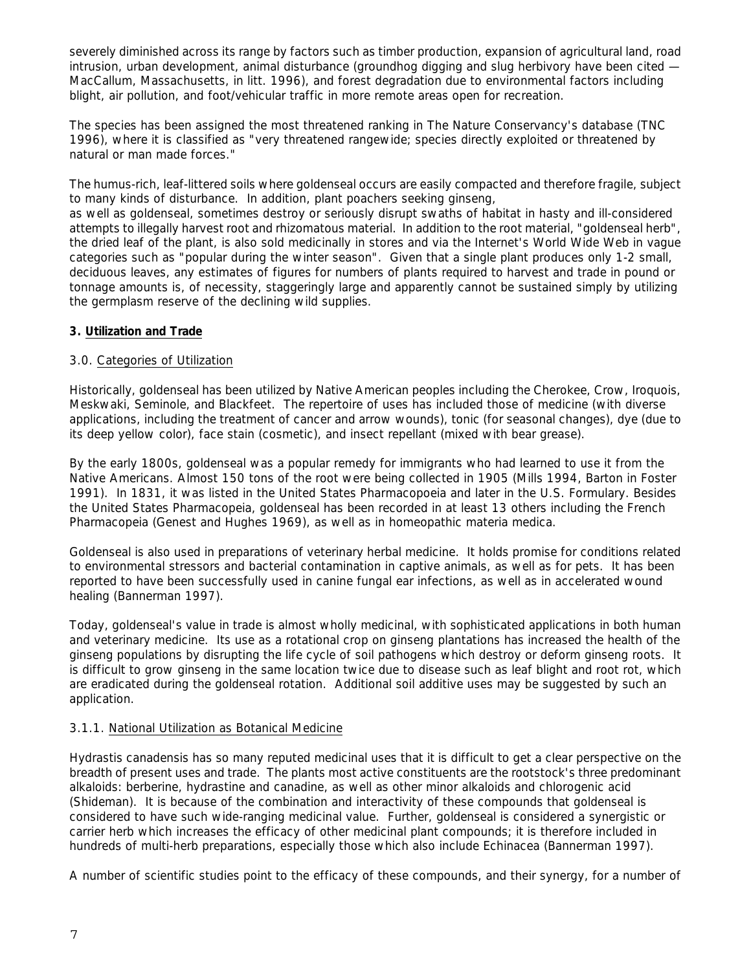severely diminished across its range by factors such as timber production, expansion of agricultural land, road intrusion, urban development, animal disturbance (groundhog digging and slug herbivory have been cited — MacCallum, Massachusetts, *in litt*. 1996), and forest degradation due to environmental factors including blight, air pollution, and foot/vehicular traffic in more remote areas open for recreation.

The species has been assigned the most threatened ranking in The Nature Conservancy's database (TNC 1996), where it is classified as "very threatened rangewide; species directly exploited or threatened by natural or man made forces."

The humus-rich, leaf-littered soils where goldenseal occurs are easily compacted and therefore fragile, subject to many kinds of disturbance. In addition, plant poachers seeking ginseng,

as well as goldenseal, sometimes destroy or seriously disrupt swaths of habitat in hasty and ill-considered attempts to illegally harvest root and rhizomatous material. In addition to the root material, "goldenseal herb", the dried leaf of the plant, is also sold medicinally in stores and via the Internet's World Wide Web in vague categories such as "popular during the winter season". Given that a single plant produces only 1-2 small, deciduous leaves, any estimates of figures for numbers of plants required to harvest and trade in pound or tonnage amounts is, of necessity, staggeringly large and apparently cannot be sustained simply by utilizing the germplasm reserve of the declining wild supplies.

# **3. Utilization and Trade**

# 3.0. Categories of Utilization

Historically, goldenseal has been utilized by Native American peoples including the Cherokee, Crow, Iroquois, Meskwaki, Seminole, and Blackfeet. The repertoire of uses has included those of medicine (with diverse applications, including the treatment of cancer and arrow wounds), tonic (for seasonal changes), dye (due to its deep yellow color), face stain (cosmetic), and insect repellant (mixed with bear grease).

By the early 1800s, goldenseal was a popular remedy for immigrants who had learned to use it from the Native Americans. Almost 150 tons of the root were being collected in 1905 (Mills 1994, Barton in Foster 1991). In 1831, it was listed in the United States Pharmacopoeia and later in the U.S. Formulary. Besides the United States Pharmacopeia, goldenseal has been recorded in at least 13 others including the French Pharmacopeia (Genest and Hughes 1969), as well as in homeopathic materia medica.

Goldenseal is also used in preparations of veterinary herbal medicine. It holds promise for conditions related to environmental stressors and bacterial contamination in captive animals, as well as for pets. It has been reported to have been successfully used in canine fungal ear infections, as well as in accelerated wound healing (Bannerman 1997).

Today, goldenseal's value in trade is almost wholly medicinal, with sophisticated applications in both human and veterinary medicine. Its use as a rotational crop on ginseng plantations has increased the health of the ginseng populations by disrupting the life cycle of soil pathogens which destroy or deform ginseng roots. It is difficult to grow ginseng in the same location twice due to disease such as leaf blight and root rot, which are eradicated during the goldenseal rotation. Additional soil additive uses may be suggested by such an application.

# 3.1.1. National Utilization as Botanical Medicine

*Hydrastis canadensis* has so many reputed medicinal uses that it is difficult to get a clear perspective on the breadth of present uses and trade. The plants most active constituents are the rootstock's three predominant alkaloids: berberine, hydrastine and canadine, as well as other minor alkaloids and chlorogenic acid (Shideman). It is because of the combination and interactivity of these compounds that goldenseal is considered to have such wide-ranging medicinal value. Further, goldenseal is considered a synergistic or carrier herb which increases the efficacy of other medicinal plant compounds; it is therefore included in hundreds of multi-herb preparations, especially those which also include *Echinacea* (Bannerman 1997).

A number of scientific studies point to the efficacy of these compounds, and their synergy, for a number of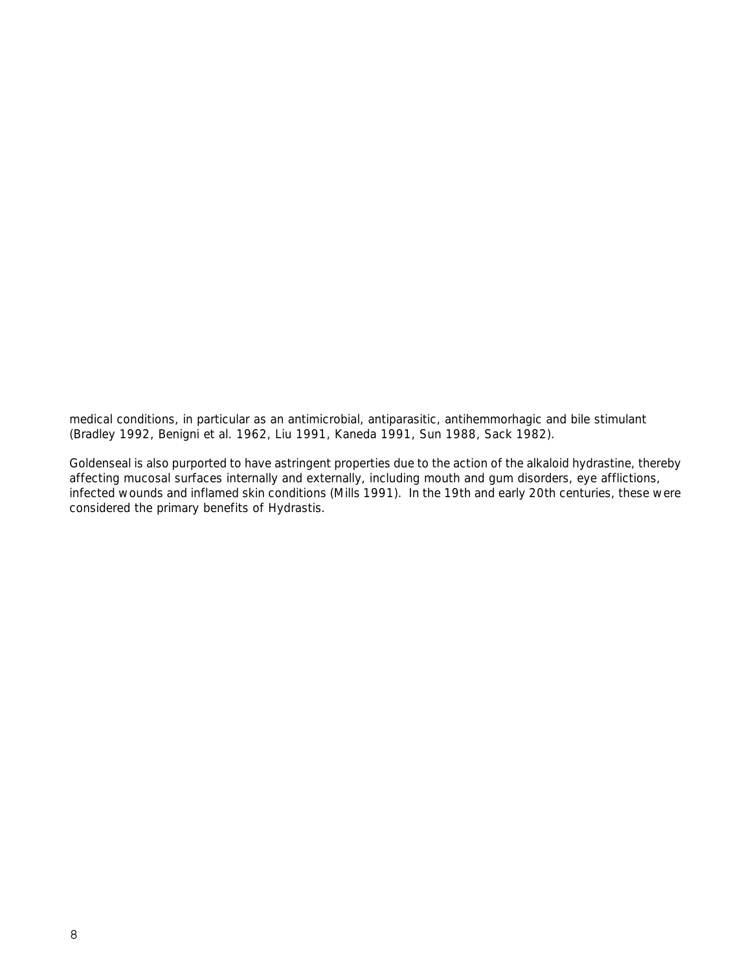medical conditions, in particular as an antimicrobial, antiparasitic, antihemmorhagic and bile stimulant (Bradley 1992, Benigni *et al*. 1962, Liu 1991, Kaneda 1991, Sun 1988, Sack 1982).

Goldenseal is also purported to have astringent properties due to the action of the alkaloid hydrastine, thereby affecting mucosal surfaces internally and externally, including mouth and gum disorders, eye afflictions, infected wounds and inflamed skin conditions (Mills 1991). In the 19th and early 20th centuries, these were considered the primary benefits of *Hydrastis*.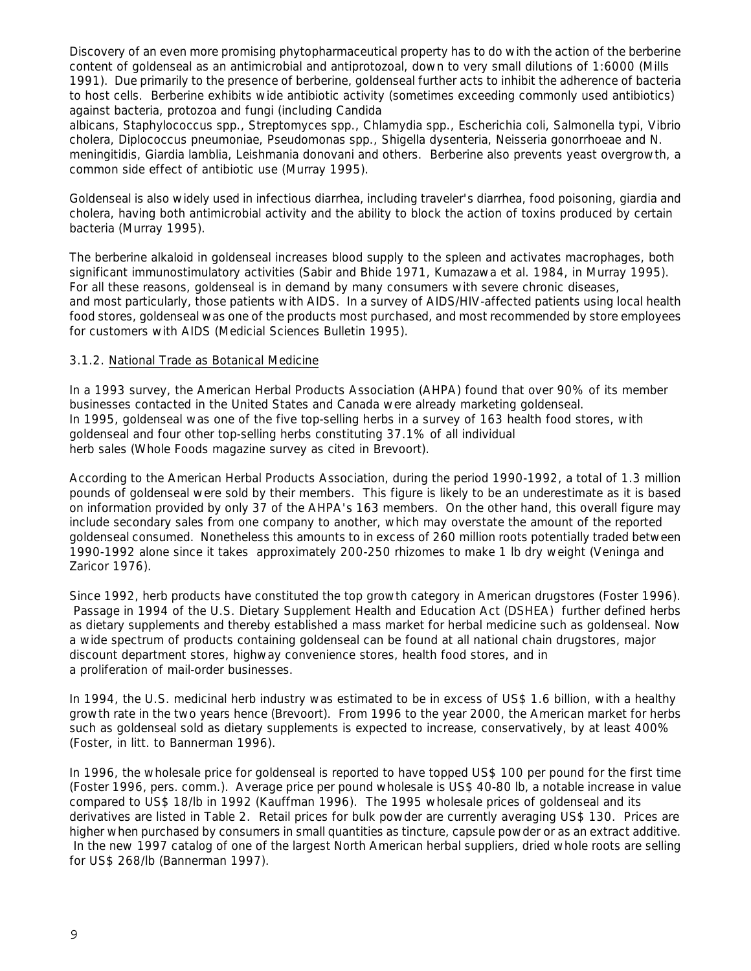Discovery of an even more promising phytopharmaceutical property has to do with the action of the berberine content of goldenseal as an antimicrobial and antiprotozoal, down to very small dilutions of 1:6000 (Mills 1991). Due primarily to the presence of berberine, goldenseal further acts to inhibit the adherence of bacteria to host cells. Berberine exhibits wide antibiotic activity (sometimes exceeding commonly used antibiotics) against bacteria, protozoa and fungi (including *Candida* 

*albicans, Staphylococcus* spp., *Streptomyces* spp., *Chlamydia* spp., *Escherichia coli, Salmonella typi, Vibrio cholera, Diplococcus pneumoniae, Pseudomonas* spp., *Shigella dysenteria, Neisseria gonorrhoeae* and *N. meningitidis, Giardia lamblia, Leishmania donovani* and others. Berberine also prevents yeast overgrowth, a common side effect of antibiotic use (Murray 1995).

Goldenseal is also widely used in infectious diarrhea, including traveler's diarrhea, food poisoning, giardia and cholera, having both antimicrobial activity and the ability to block the action of toxins produced by certain bacteria (Murray 1995).

The berberine alkaloid in goldenseal increases blood supply to the spleen and activates macrophages, both significant immunostimulatory activities (Sabir and Bhide 1971, Kumazawa *et al*. 1984, in Murray 1995). For all these reasons, goldenseal is in demand by many consumers with severe chronic diseases, and most particularly, those patients with AIDS. In a survey of AIDS/HIV-affected patients using local health food stores, goldenseal was one of the products most purchased, and most recommended by store employees for customers with AIDS (Medicial Sciences Bulletin 1995).

# 3.1.2. National Trade as Botanical Medicine

In a 1993 survey, the American Herbal Products Association (AHPA) found that over 90% of its member businesses contacted in the United States and Canada were already marketing goldenseal. In 1995, goldenseal was one of the five top-selling herbs in a survey of 163 health food stores, with goldenseal and four other top-selling herbs constituting 37.1% of all individual herb sales (*Whole Foods* magazine survey as cited in Brevoort).

According to the American Herbal Products Association, during the period 1990-1992, a total of 1.3 million pounds of goldenseal were sold by their members. This figure is likely to be an underestimate as it is based on information provided by only 37 of the AHPA's 163 members. On the other hand, this overall figure may include secondary sales from one company to another, which may overstate the amount of the reported goldenseal consumed. Nonetheless this amounts to in excess of 260 million roots potentially traded between 1990-1992 alone since it takes approximately 200-250 rhizomes to make 1 lb dry weight (Veninga and Zaricor 1976).

Since 1992, herb products have constituted the top growth category in American drugstores (Foster 1996). Passage in 1994 of the U.S. Dietary Supplement Health and Education Act (DSHEA) further defined herbs as dietary supplements and thereby established a mass market for herbal medicine such as goldenseal. Now a wide spectrum of products containing goldenseal can be found at all national chain drugstores, major discount department stores, highway convenience stores, health food stores, and in a proliferation of mail-order businesses.

In 1994, the U.S. medicinal herb industry was estimated to be in excess of US\$ 1.6 billion, with a healthy growth rate in the two years hence (Brevoort). From 1996 to the year 2000, the American market for herbs such as goldenseal sold as dietary supplements is expected to increase, conservatively, by at least 400% (Foster, *in litt*. to Bannerman 1996).

In 1996, the wholesale price for goldenseal is reported to have topped US\$ 100 per pound for the first time (Foster 1996, pers. comm.). Average price per pound wholesale is US\$ 40-80 lb, a notable increase in value compared to US\$ 18/lb in 1992 (Kauffman 1996). The 1995 wholesale prices of goldenseal and its derivatives are listed in Table 2. Retail prices for bulk powder are currently averaging US\$ 130. Prices are higher when purchased by consumers in small quantities as tincture, capsule powder or as an extract additive. In the new 1997 catalog of one of the largest North American herbal suppliers, dried whole roots are selling for US\$ 268/lb (Bannerman 1997).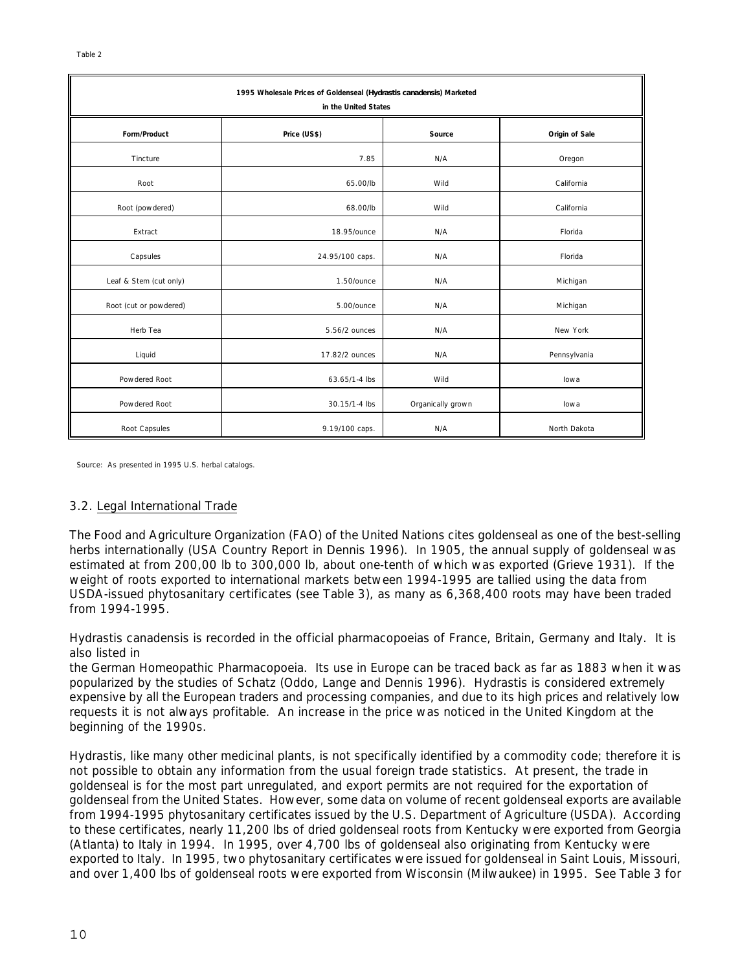| 1995 Wholesale Prices of Goldenseal (Hydrastis canadensis) Marketed<br>in the United States |                 |                   |                |
|---------------------------------------------------------------------------------------------|-----------------|-------------------|----------------|
| Form/Product                                                                                | Price (US\$)    | Source            | Origin of Sale |
| Tincture                                                                                    | 7.85            | N/A               | Oregon         |
| Root                                                                                        | 65.00/lb        | Wild              | California     |
| Root (powdered)                                                                             | 68.00/lb        | Wild              | California     |
| Extract                                                                                     | 18.95/ounce     | N/A               | Florida        |
| Capsules                                                                                    | 24.95/100 caps. | N/A               | Florida        |
| Leaf & Stem (cut only)                                                                      | 1.50/ounce      | N/A               | Michigan       |
| Root (cut or powdered)                                                                      | 5.00/ounce      | N/A               | Michigan       |
| Herb Tea                                                                                    | 5.56/2 ounces   | N/A               | New York       |
| Liquid                                                                                      | 17.82/2 ounces  | N/A               | Pennsylvania   |
| Powdered Root                                                                               | 63.65/1-4 lbs   | Wild              | lowa           |
| Powdered Root                                                                               | 30.15/1-4 lbs   | Organically grown | lowa           |
| Root Capsules                                                                               | 9.19/100 caps.  | N/A               | North Dakota   |

Source: As presented in 1995 U.S. herbal catalogs.

#### 3.2. Legal International Trade

The Food and Agriculture Organization (FAO) of the United Nations cites goldenseal as one of the best-selling herbs internationally (USA Country Report in Dennis 1996). In 1905, the annual supply of goldenseal was estimated at from 200,00 lb to 300,000 lb, about one-tenth of which was exported (Grieve 1931). If the weight of roots exported to international markets between 1994-1995 are tallied using the data from USDA-issued phytosanitary certificates (see Table 3), as many as 6,368,400 roots may have been traded from 1994-1995.

*Hydrastis canadensis* is recorded in the official pharmacopoeias of France, Britain, Germany and Italy. It is also listed in

the German Homeopathic Pharmacopoeia. Its use in Europe can be traced back as far as 1883 when it was popularized by the studies of Schatz (Oddo, Lange and Dennis 1996). *Hydrastis* is considered extremely expensive by all the European traders and processing companies, and due to its high prices and relatively low requests it is not always profitable. An increase in the price was noticed in the United Kingdom at the beginning of the 1990s.

*Hydrastis*, like many other medicinal plants, is not specifically identified by a commodity code; therefore it is not possible to obtain any information from the usual foreign trade statistics. At present, the trade in goldenseal is for the most part unregulated, and export permits are not required for the exportation of goldenseal from the United States. However, some data on volume of recent goldenseal exports are available from 1994-1995 phytosanitary certificates issued by the U.S. Department of Agriculture (USDA). According to these certificates, nearly 11,200 lbs of dried goldenseal roots from Kentucky were exported from Georgia (Atlanta) to Italy in 1994. In 1995, over 4,700 lbs of goldenseal also originating from Kentucky were exported to Italy. In 1995, two phytosanitary certificates were issued for goldenseal in Saint Louis, Missouri, and over 1,400 lbs of goldenseal roots were exported from Wisconsin (Milwaukee) in 1995. See Table 3 for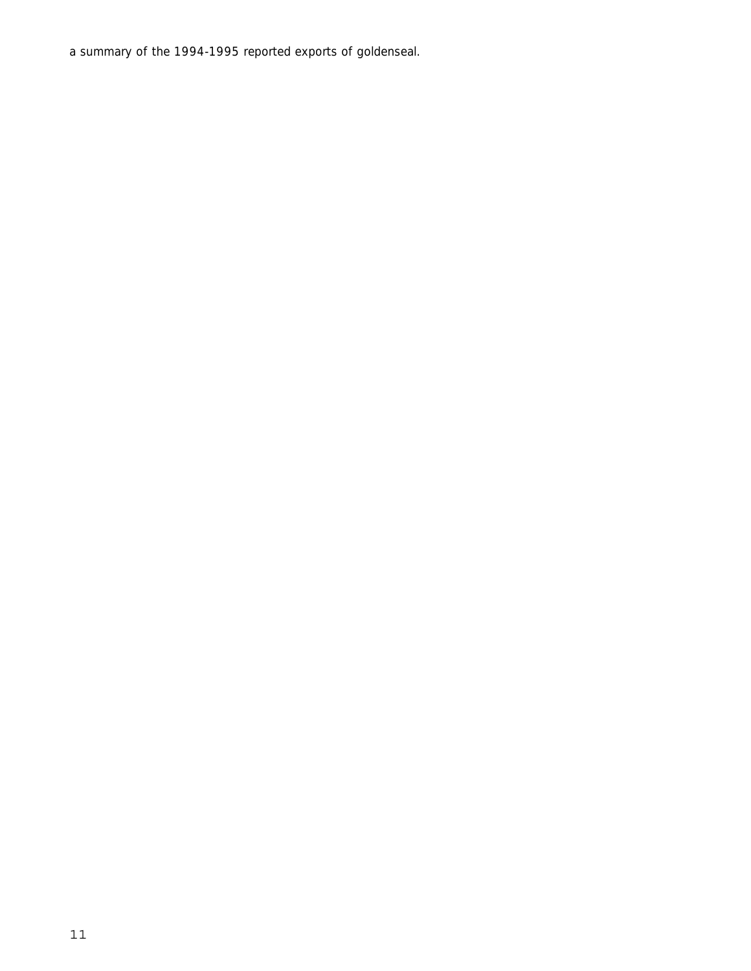a summary of the 1994-1995 reported exports of goldenseal.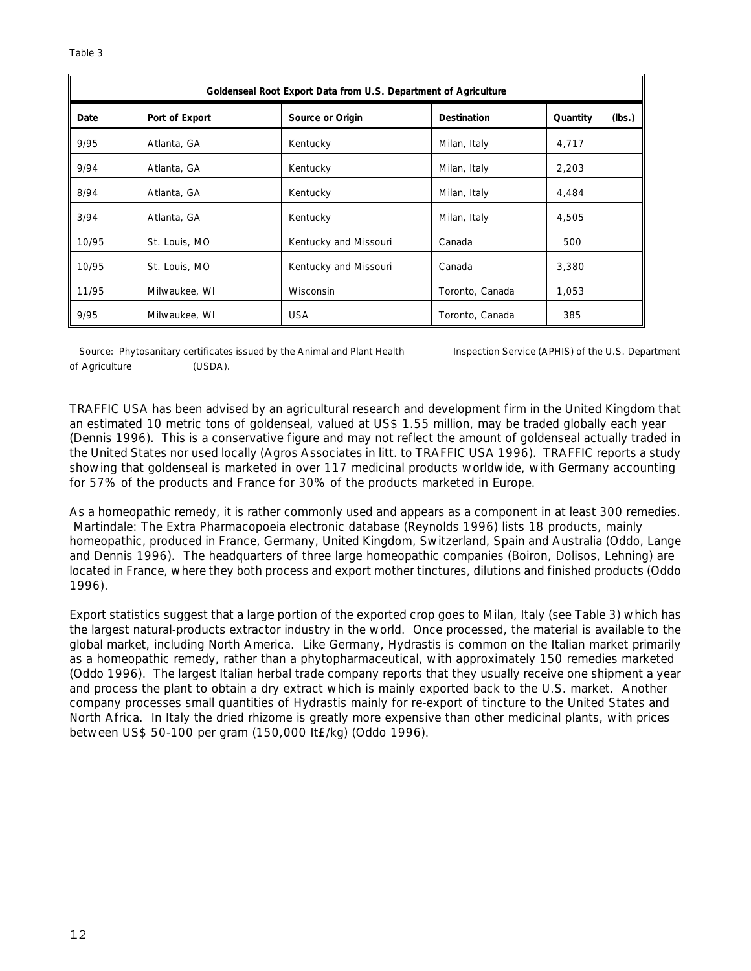| Goldenseal Root Export Data from U.S. Department of Agriculture |                |                       |                    |                    |
|-----------------------------------------------------------------|----------------|-----------------------|--------------------|--------------------|
| Date                                                            | Port of Export | Source or Origin      | <b>Destination</b> | (lbs.)<br>Quantity |
| 9/95                                                            | Atlanta, GA    | Kentucky              | Milan, Italy       | 4,717              |
| 9/94                                                            | Atlanta, GA    | Kentucky              | Milan, Italy       | 2,203              |
| 8/94                                                            | Atlanta, GA    | Kentucky              | Milan, Italy       | 4,484              |
| 3/94                                                            | Atlanta, GA    | Kentucky              | Milan, Italy       | 4,505              |
| 10/95                                                           | St. Louis, MO  | Kentucky and Missouri | Canada             | 500                |
| 10/95                                                           | St. Louis, MO  | Kentucky and Missouri | Canada             | 3,380              |
| 11/95                                                           | Milwaukee, WI  | Wisconsin             | Toronto, Canada    | 1,053              |
| 9/95                                                            | Milwaukee, WI  | <b>USA</b>            | Toronto, Canada    | 385                |

#### Source: Phytosanitary certificates issued by the Animal and Plant Health Inspection Service (APHIS) of the U.S. Department of Agriculture (USDA).

TRAFFIC USA has been advised by an agricultural research and development firm in the United Kingdom that an estimated 10 metric tons of goldenseal, valued at US\$ 1.55 million, may be traded globally each year (Dennis 1996). This is a conservative figure and may not reflect the amount of goldenseal actually traded in the United States nor used locally (Agros Associates *in litt*. to TRAFFIC USA 1996). TRAFFIC reports a study showing that goldenseal is marketed in over 117 medicinal products worldwide, with Germany accounting for 57% of the products and France for 30% of the products marketed in Europe.

As a homeopathic remedy, it is rather commonly used and appears as a component in at least 300 remedies. *Martindale: The Extra Pharmacopoeia* electronic database (Reynolds 1996) lists 18 products, mainly homeopathic, produced in France, Germany, United Kingdom, Switzerland, Spain and Australia (Oddo, Lange and Dennis 1996). The headquarters of three large homeopathic companies (Boiron, Dolisos, Lehning) are located in France, where they both process and export mother tinctures, dilutions and finished products (Oddo 1996).

Export statistics suggest that a large portion of the exported crop goes to Milan, Italy (see Table 3) which has the largest natural-products extractor industry in the world. Once processed, the material is available to the global market, including North America. Like Germany, *Hydrastis* is common on the Italian market primarily as a homeopathic remedy, rather than a phytopharmaceutical, with approximately 150 remedies marketed (Oddo 1996). The largest Italian herbal trade company reports that they usually receive one shipment a year and process the plant to obtain a dry extract which is mainly exported back to the U.S. market. Another company processes small quantities of *Hydrastis* mainly for re-export of tincture to the United States and North Africa. In Italy the dried rhizome is greatly more expensive than other medicinal plants, with prices between US\$ 50-100 per gram (150,000 It£/kg) (Oddo 1996).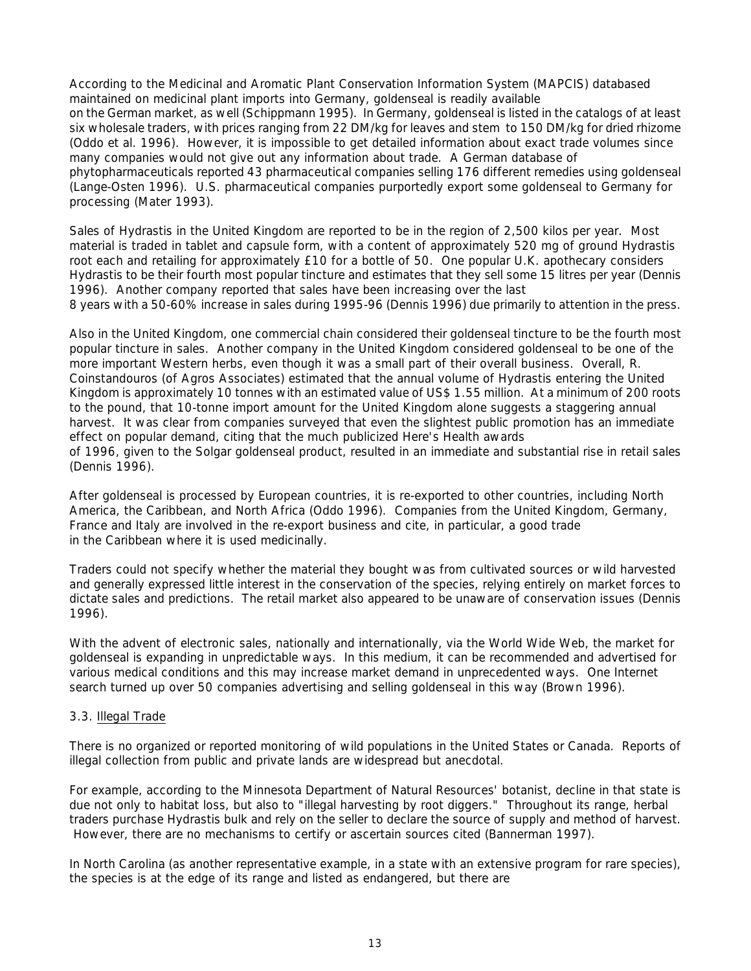According to the Medicinal and Aromatic Plant Conservation Information System (MAPCIS) databased maintained on medicinal plant imports into Germany, goldenseal is readily available on the German market, as well (Schippmann 1995). In Germany, goldenseal is listed in the catalogs of at least six wholesale traders, with prices ranging from 22 DM/kg for leaves and stem to 150 DM/kg for dried rhizome (Oddo *et al*. 1996). However, it is impossible to get detailed information about exact trade volumes since many companies would not give out any information about trade. A German database of phytopharmaceuticals reported 43 pharmaceutical companies selling 176 different remedies using goldenseal (Lange-Osten 1996). U.S. pharmaceutical companies purportedly export some goldenseal to Germany for processing (Mater 1993).

Sales of *Hydrastis* in the United Kingdom are reported to be in the region of 2,500 kilos per year. Most material is traded in tablet and capsule form, with a content of approximately 520 mg of ground *Hydrastis* root each and retailing for approximately £10 for a bottle of 50. One popular U.K. apothecary considers *Hydrastis* to be their fourth most popular tincture and estimates that they sell some 15 litres per year (Dennis 1996). Another company reported that sales have been increasing over the last

8 years with a 50-60% increase in sales during 1995-96 (Dennis 1996) due primarily to attention in the press.

Also in the United Kingdom, one commercial chain considered their goldenseal tincture to be the fourth most popular tincture in sales. Another company in the United Kingdom considered goldenseal to be one of the more important Western herbs, even though it was a small part of their overall business. Overall, R. Coinstandouros (of Agros Associates) estimated that the annual volume of *Hydrastis* entering the United Kingdom is approximately 10 tonnes with an estimated value of US\$ 1.55 million. At a minimum of 200 roots to the pound, that 10-tonne import amount for the United Kingdom alone suggests a staggering annual harvest. It was clear from companies surveyed that even the slightest public promotion has an immediate effect on popular demand, citing that the much publicized Here's Health awards of 1996, given to the Solgar goldenseal product, resulted in an immediate and substantial rise in retail sales (Dennis 1996).

After goldenseal is processed by European countries, it is re-exported to other countries, including North America, the Caribbean, and North Africa (Oddo 1996). Companies from the United Kingdom, Germany, France and Italy are involved in the re-export business and cite, in particular, a good trade in the Caribbean where it is used medicinally.

Traders could not specify whether the material they bought was from cultivated sources or wild harvested and generally expressed little interest in the conservation of the species, relying entirely on market forces to dictate sales and predictions. The retail market also appeared to be unaware of conservation issues (Dennis 1996).

With the advent of electronic sales, nationally and internationally, via the World Wide Web, the market for goldenseal is expanding in unpredictable ways. In this medium, it can be recommended and advertised for various medical conditions and this may increase market demand in unprecedented ways. One Internet search turned up over 50 companies advertising and selling goldenseal in this way (Brown 1996).

#### 3.3. Illegal Trade

There is no organized or reported monitoring of wild populations in the United States or Canada. Reports of illegal collection from public and private lands are widespread but anecdotal.

For example, according to the Minnesota Department of Natural Resources' botanist, decline in that state is due not only to habitat loss, but also to "illegal harvesting by root diggers." Throughout its range, herbal traders purchase *Hydrastis* bulk and rely on the seller to declare the source of supply and method of harvest. However, there are no mechanisms to certify or ascertain sources cited (Bannerman 1997).

In North Carolina (as another representative example, in a state with an extensive program for rare species), the species is at the edge of its range and listed as endangered, but there are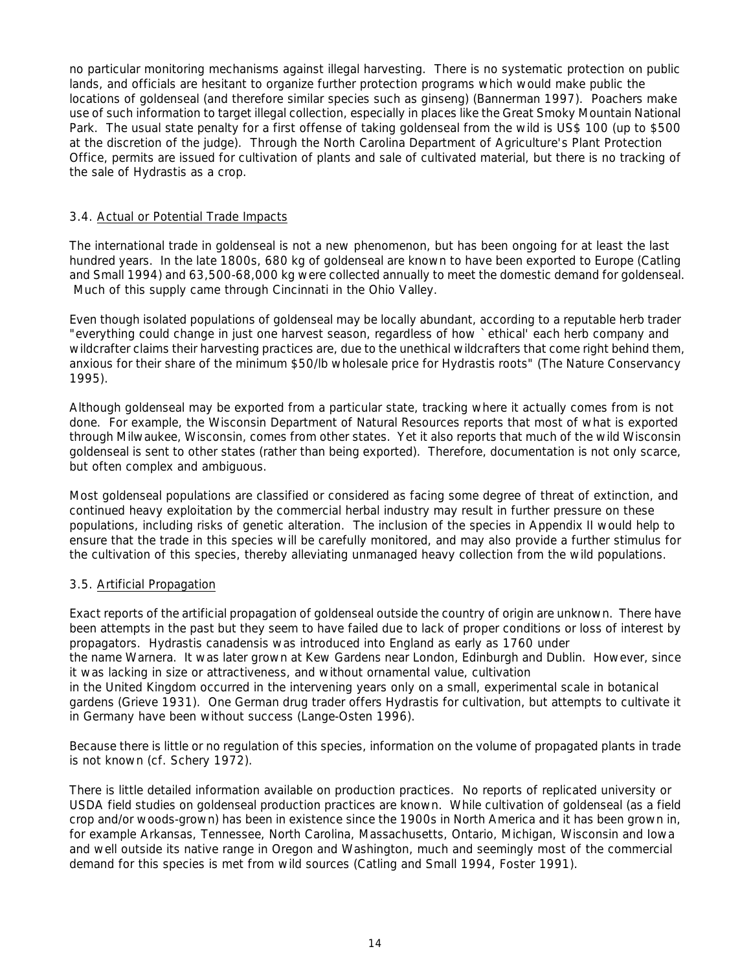no particular monitoring mechanisms against illegal harvesting. There is no systematic protection on public lands, and officials are hesitant to organize further protection programs which would make public the locations of goldenseal (and therefore similar species such as ginseng) (Bannerman 1997). Poachers make use of such information to target illegal collection, especially in places like the Great Smoky Mountain National Park. The usual state penalty for a first offense of taking goldenseal from the wild is US\$ 100 (up to \$500 at the discretion of the judge). Through the North Carolina Department of Agriculture's Plant Protection Office, permits are issued for cultivation of plants and sale of cultivated material, but there is no tracking of the sale of *Hydrastis* as a crop.

# 3.4. Actual or Potential Trade Impacts

The international trade in goldenseal is not a new phenomenon, but has been ongoing for at least the last hundred years. In the late 1800s, 680 kg of goldenseal are known to have been exported to Europe (Catling and Small 1994) and 63,500-68,000 kg were collected annually to meet the domestic demand for goldenseal. Much of this supply came through Cincinnati in the Ohio Valley.

Even though isolated populations of goldenseal may be locally abundant, according to a reputable herb trader "everything could change in just one harvest season, regardless of how `ethical' each herb company and wildcrafter claims their harvesting practices are, due to the unethical wildcrafters that come right behind them, anxious for their share of the minimum \$50/lb wholesale price for *Hydrastis* roots" (The Nature Conservancy 1995).

Although goldenseal may be exported from a particular state, tracking where it actually comes from is not done. For example, the Wisconsin Department of Natural Resources reports that most of what is exported through Milwaukee, Wisconsin, comes from other states. Yet it also reports that much of the wild Wisconsin goldenseal is sent to other states (rather than being exported). Therefore, documentation is not only scarce, but often complex and ambiguous.

Most goldenseal populations are classified or considered as facing some degree of threat of extinction, and continued heavy exploitation by the commercial herbal industry may result in further pressure on these populations, including risks of genetic alteration. The inclusion of the species in Appendix II would help to ensure that the trade in this species will be carefully monitored, and may also provide a further stimulus for the cultivation of this species, thereby alleviating unmanaged heavy collection from the wild populations.

# 3.5. Artificial Propagation

Exact reports of the artificial propagation of goldenseal outside the country of origin are unknown. There have been attempts in the past but they seem to have failed due to lack of proper conditions or loss of interest by propagators. *Hydrastis canadensis* was introduced into England as early as 1760 under the name *Warnera*. It was later grown at Kew Gardens near London, Edinburgh and Dublin. However, since it was lacking in size or attractiveness, and without ornamental value, cultivation in the United Kingdom occurred in the intervening years only on a small, experimental scale in botanical gardens (Grieve 1931). One German drug trader offers *Hydrastis* for cultivation, but attempts to cultivate it in Germany have been without success (Lange-Osten 1996).

Because there is little or no regulation of this species, information on the volume of propagated plants in trade is not known (*cf*. Schery 1972).

There is little detailed information available on production practices. No reports of replicated university or USDA field studies on goldenseal production practices are known. While cultivation of goldenseal (as a field crop and/or woods-grown) has been in existence since the 1900s in North America and it has been grown in, for example Arkansas, Tennessee, North Carolina, Massachusetts, Ontario, Michigan, Wisconsin and Iowa and well outside its native range in Oregon and Washington, much and seemingly most of the commercial demand for this species is met from wild sources (Catling and Small 1994, Foster 1991).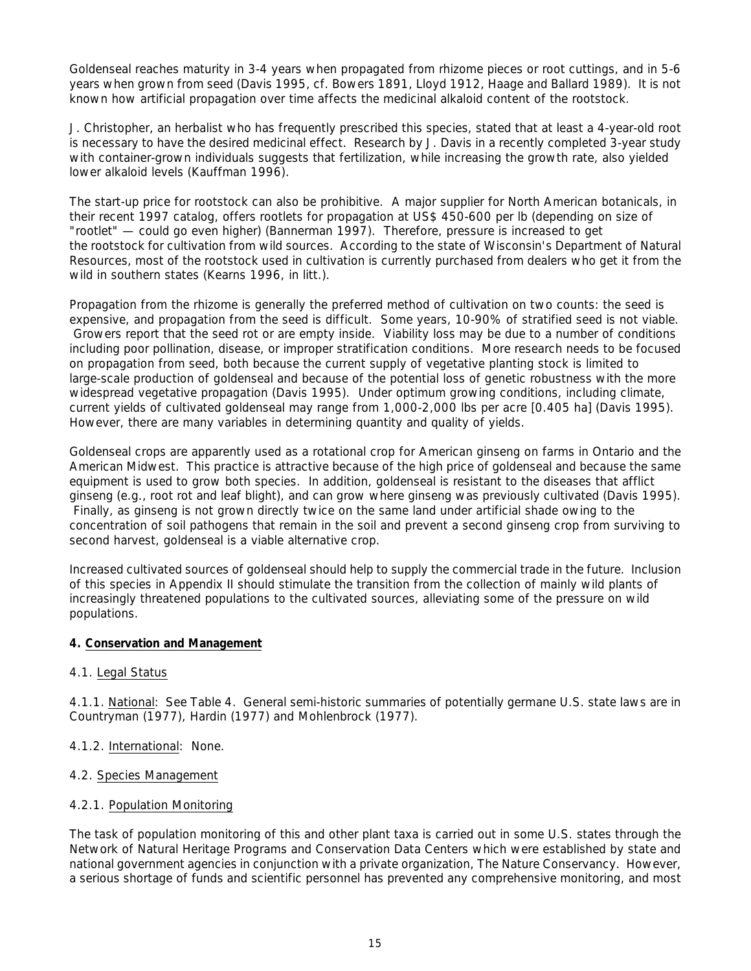Goldenseal reaches maturity in 3-4 years when propagated from rhizome pieces or root cuttings, and in 5-6 years when grown from seed (Davis 1995, *cf*. Bowers 1891, Lloyd 1912, Haage and Ballard 1989). It is not known how artificial propagation over time affects the medicinal alkaloid content of the rootstock.

J. Christopher, an herbalist who has frequently prescribed this species, stated that at least a 4-year-old root is necessary to have the desired medicinal effect. Research by J. Davis in a recently completed 3-year study with container-grown individuals suggests that fertilization, while increasing the growth rate, also yielded lower alkaloid levels (Kauffman 1996).

The start-up price for rootstock can also be prohibitive. A major supplier for North American botanicals, in their recent 1997 catalog, offers rootlets for propagation at US\$ 450-600 per lb (depending on size of "rootlet" — could go even higher) (Bannerman 1997). Therefore, pressure is increased to get the rootstock for cultivation from wild sources. According to the state of Wisconsin's Department of Natural Resources, most of the rootstock used in cultivation is currently purchased from dealers who get it from the wild in southern states (Kearns 1996, *in litt*.).

Propagation from the rhizome is generally the preferred method of cultivation on two counts: the seed is expensive, and propagation from the seed is difficult. Some years, 10-90% of stratified seed is not viable. Growers report that the seed rot or are empty inside. Viability loss may be due to a number of conditions including poor pollination, disease, or improper stratification conditions. More research needs to be focused on propagation from seed, both because the current supply of vegetative planting stock is limited to large-scale production of goldenseal and because of the potential loss of genetic robustness with the more widespread vegetative propagation (Davis 1995). Under optimum growing conditions, including climate, current yields of cultivated goldenseal may range from 1,000-2,000 lbs per acre [0.405 ha] (Davis 1995). However, there are many variables in determining quantity and quality of yields.

Goldenseal crops are apparently used as a rotational crop for American ginseng on farms in Ontario and the American Midwest. This practice is attractive because of the high price of goldenseal and because the same equipment is used to grow both species. In addition, goldenseal is resistant to the diseases that afflict ginseng (*e*.*g*., root rot and leaf blight), and can grow where ginseng was previously cultivated (Davis 1995). Finally, as ginseng is not grown directly twice on the same land under artificial shade owing to the concentration of soil pathogens that remain in the soil and prevent a second ginseng crop from surviving to second harvest, goldenseal is a viable alternative crop.

Increased cultivated sources of goldenseal should help to supply the commercial trade in the future. Inclusion of this species in Appendix II should stimulate the transition from the collection of mainly wild plants of increasingly threatened populations to the cultivated sources, alleviating some of the pressure on wild populations.

# **4. Conservation and Management**

# 4.1. Legal Status

4.1.1. National: See Table 4. General semi-historic summaries of potentially germane U.S. state laws are in Countryman (1977), Hardin (1977) and Mohlenbrock (1977).

- 4.1.2. International: None.
- 4.2. Species Management

# 4.2.1. Population Monitoring

The task of population monitoring of this and other plant taxa is carried out in some U.S. states through the Network of Natural Heritage Programs and Conservation Data Centers which were established by state and national government agencies in conjunction with a private organization, The Nature Conservancy. However, a serious shortage of funds and scientific personnel has prevented any comprehensive monitoring, and most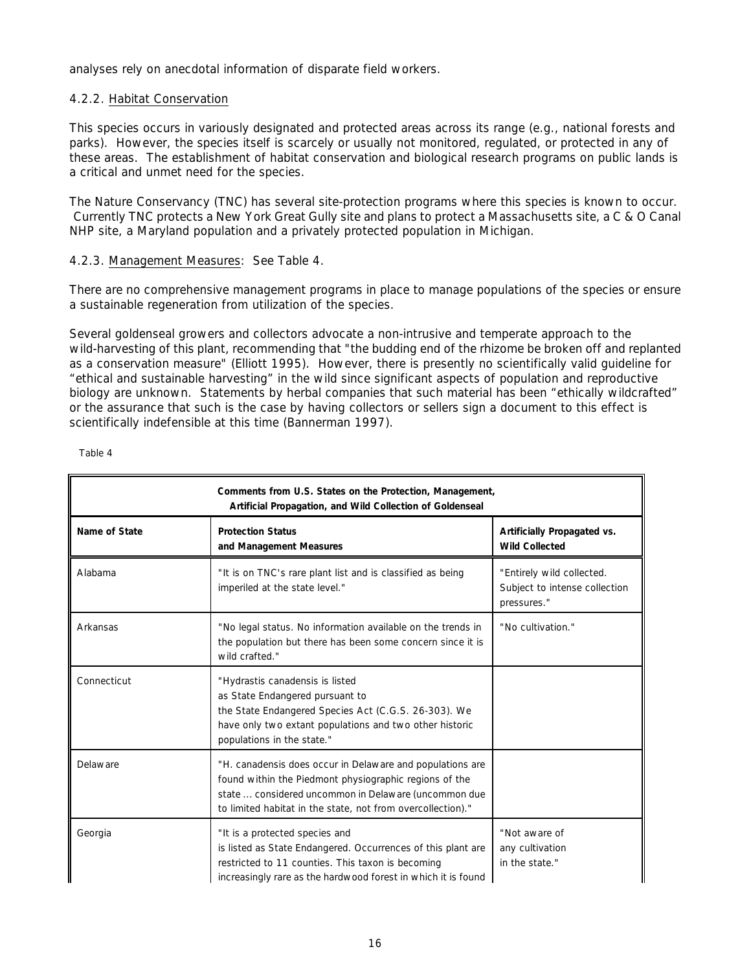analyses rely on anecdotal information of disparate field workers.

# 4.2.2. Habitat Conservation

This species occurs in variously designated and protected areas across its range (*e*.*g*., national forests and parks). However, the species itself is scarcely or usually not monitored, regulated, or protected in any of these areas. The establishment of habitat conservation and biological research programs on public lands is a critical and unmet need for the species.

The Nature Conservancy (TNC) has several site-protection programs where this species is known to occur. Currently TNC protects a New York Great Gully site and plans to protect a Massachusetts site, a C & O Canal NHP site, a Maryland population and a privately protected population in Michigan.

# 4.2.3. Management Measures: See Table 4.

There are no comprehensive management programs in place to manage populations of the species or ensure a sustainable regeneration from utilization of the species.

Several goldenseal growers and collectors advocate a non-intrusive and temperate approach to the wild-harvesting of this plant, recommending that "the budding end of the rhizome be broken off and replanted as a conservation measure" (Elliott 1995). However, there is presently no scientifically valid guideline for "ethical and sustainable harvesting" in the wild since significant aspects of population and reproductive biology are unknown. Statements by herbal companies that such material has been "ethically wildcrafted" or the assurance that such is the case by having collectors or sellers sign a document to this effect is scientifically indefensible at this time (Bannerman 1997).

| Comments from U.S. States on the Protection, Management,<br>Artificial Propagation, and Wild Collection of Goldenseal |                                                                                                                                                                                                                                            |                                                                           |
|-----------------------------------------------------------------------------------------------------------------------|--------------------------------------------------------------------------------------------------------------------------------------------------------------------------------------------------------------------------------------------|---------------------------------------------------------------------------|
| Name of State                                                                                                         | <b>Protection Status</b><br>and Management Measures                                                                                                                                                                                        | Artificially Propagated vs.<br><b>Wild Collected</b>                      |
| Alabama                                                                                                               | "It is on TNC's rare plant list and is classified as being<br>imperiled at the state level."                                                                                                                                               | "Entirely wild collected.<br>Subject to intense collection<br>pressures." |
| Arkansas                                                                                                              | "No legal status. No information available on the trends in<br>the population but there has been some concern since it is<br>wild crafted."                                                                                                | "No cultivation."                                                         |
| Connecticut                                                                                                           | "Hydrastis canadensis is listed<br>as State Endangered pursuant to<br>the State Endangered Species Act (C.G.S. 26-303). We<br>have only two extant populations and two other historic<br>populations in the state."                        |                                                                           |
| Delaware                                                                                                              | "H. canadensis does occur in Delaware and populations are<br>found within the Piedmont physiographic regions of the<br>state  considered uncommon in Delaware (uncommon due<br>to limited habitat in the state, not from overcollection)." |                                                                           |
| Georgia                                                                                                               | "It is a protected species and<br>is listed as State Endangered. Occurrences of this plant are<br>restricted to 11 counties. This taxon is becoming<br>increasingly rare as the hardwood forest in which it is found                       | "Not aware of<br>any cultivation<br>in the state."                        |

Table 4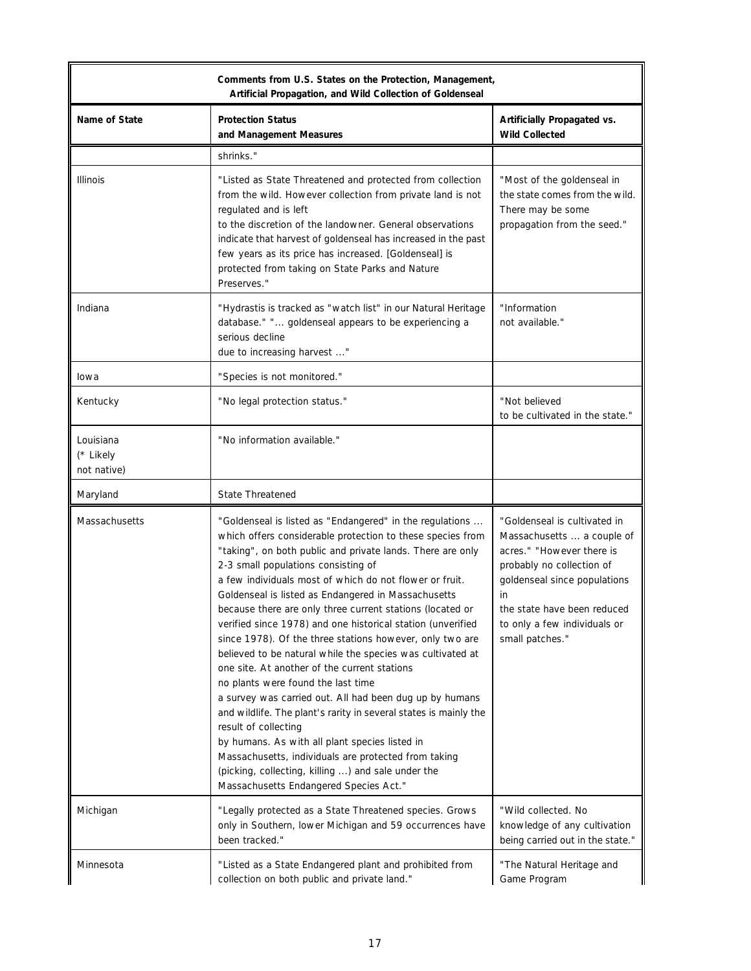|                                       | Comments from U.S. States on the Protection, Management,<br>Artificial Propagation, and Wild Collection of Goldenseal                                                                                                                                                                                                                                                                                                                                                                                                                                                                                                                                                                                                                                                                                                                                                                                                                                                                                                                                      |                                                                                                                                                                                                                                              |
|---------------------------------------|------------------------------------------------------------------------------------------------------------------------------------------------------------------------------------------------------------------------------------------------------------------------------------------------------------------------------------------------------------------------------------------------------------------------------------------------------------------------------------------------------------------------------------------------------------------------------------------------------------------------------------------------------------------------------------------------------------------------------------------------------------------------------------------------------------------------------------------------------------------------------------------------------------------------------------------------------------------------------------------------------------------------------------------------------------|----------------------------------------------------------------------------------------------------------------------------------------------------------------------------------------------------------------------------------------------|
| Name of State                         | <b>Protection Status</b><br>and Management Measures                                                                                                                                                                                                                                                                                                                                                                                                                                                                                                                                                                                                                                                                                                                                                                                                                                                                                                                                                                                                        | Artificially Propagated vs.<br><b>Wild Collected</b>                                                                                                                                                                                         |
|                                       | shrinks."                                                                                                                                                                                                                                                                                                                                                                                                                                                                                                                                                                                                                                                                                                                                                                                                                                                                                                                                                                                                                                                  |                                                                                                                                                                                                                                              |
| <b>Illinois</b>                       | "Listed as State Threatened and protected from collection<br>from the wild. However collection from private land is not<br>regulated and is left<br>to the discretion of the landowner. General observations<br>indicate that harvest of goldenseal has increased in the past<br>few years as its price has increased. [Goldenseal] is<br>protected from taking on State Parks and Nature<br>Preserves."                                                                                                                                                                                                                                                                                                                                                                                                                                                                                                                                                                                                                                                   | "Most of the goldenseal in<br>the state comes from the wild.<br>There may be some<br>propagation from the seed."                                                                                                                             |
| Indiana                               | "Hydrastis is tracked as "watch list" in our Natural Heritage<br>database." " goldenseal appears to be experiencing a<br>serious decline<br>due to increasing harvest "                                                                                                                                                                                                                                                                                                                                                                                                                                                                                                                                                                                                                                                                                                                                                                                                                                                                                    | "Information<br>not available."                                                                                                                                                                                                              |
| lowa                                  | "Species is not monitored."                                                                                                                                                                                                                                                                                                                                                                                                                                                                                                                                                                                                                                                                                                                                                                                                                                                                                                                                                                                                                                |                                                                                                                                                                                                                                              |
| Kentucky                              | "No legal protection status."                                                                                                                                                                                                                                                                                                                                                                                                                                                                                                                                                                                                                                                                                                                                                                                                                                                                                                                                                                                                                              | "Not believed<br>to be cultivated in the state."                                                                                                                                                                                             |
| Louisiana<br>(* Likely<br>not native) | "No information available."                                                                                                                                                                                                                                                                                                                                                                                                                                                                                                                                                                                                                                                                                                                                                                                                                                                                                                                                                                                                                                |                                                                                                                                                                                                                                              |
| Maryland                              | <b>State Threatened</b>                                                                                                                                                                                                                                                                                                                                                                                                                                                                                                                                                                                                                                                                                                                                                                                                                                                                                                                                                                                                                                    |                                                                                                                                                                                                                                              |
| Massachusetts                         | "Goldenseal is listed as "Endangered" in the regulations<br>which offers considerable protection to these species from<br>"taking", on both public and private lands. There are only<br>2-3 small populations consisting of<br>a few individuals most of which do not flower or fruit.<br>Goldenseal is listed as Endangered in Massachusetts<br>because there are only three current stations (located or<br>verified since 1978) and one historical station (unverified<br>since 1978). Of the three stations however, only two are<br>believed to be natural while the species was cultivated at<br>one site. At another of the current stations<br>no plants were found the last time<br>a survey was carried out. All had been dug up by humans<br>and wildlife. The plant's rarity in several states is mainly the<br>result of collecting<br>by humans. As with all plant species listed in<br>Massachusetts, individuals are protected from taking<br>(picking, collecting, killing ) and sale under the<br>Massachusetts Endangered Species Act." | "Goldenseal is cultivated in<br>Massachusetts  a couple of<br>acres." "However there is<br>probably no collection of<br>goldenseal since populations<br>in<br>the state have been reduced<br>to only a few individuals or<br>small patches." |
| Michigan                              | "Legally protected as a State Threatened species. Grows<br>only in Southern, lower Michigan and 59 occurrences have<br>been tracked."                                                                                                                                                                                                                                                                                                                                                                                                                                                                                                                                                                                                                                                                                                                                                                                                                                                                                                                      | "Wild collected. No<br>knowledge of any cultivation<br>being carried out in the state."                                                                                                                                                      |
| Minnesota                             | "Listed as a State Endangered plant and prohibited from<br>collection on both public and private land."                                                                                                                                                                                                                                                                                                                                                                                                                                                                                                                                                                                                                                                                                                                                                                                                                                                                                                                                                    | "The Natural Heritage and<br>Game Program                                                                                                                                                                                                    |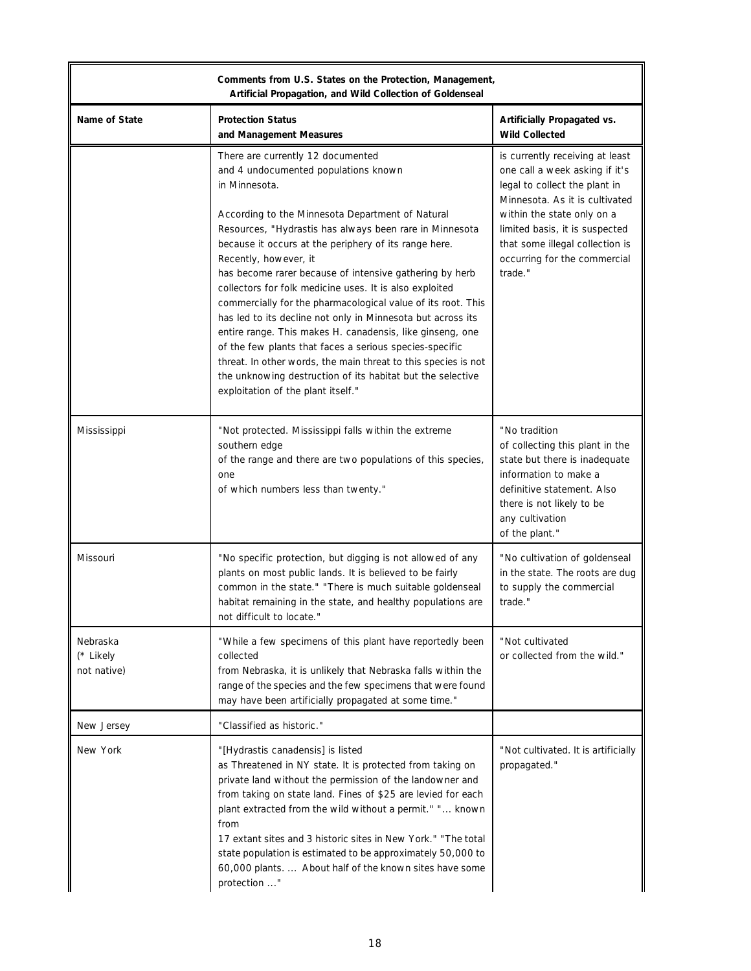|                                      | Comments from U.S. States on the Protection, Management,<br>Artificial Propagation, and Wild Collection of Goldenseal                                                                                                                                                                                                                                                                                                                                                                                                                                                                                                                                                                                                                                                                                                                          |                                                                                                                                                                                                                                                                                    |
|--------------------------------------|------------------------------------------------------------------------------------------------------------------------------------------------------------------------------------------------------------------------------------------------------------------------------------------------------------------------------------------------------------------------------------------------------------------------------------------------------------------------------------------------------------------------------------------------------------------------------------------------------------------------------------------------------------------------------------------------------------------------------------------------------------------------------------------------------------------------------------------------|------------------------------------------------------------------------------------------------------------------------------------------------------------------------------------------------------------------------------------------------------------------------------------|
| Name of State                        | <b>Protection Status</b><br>and Management Measures                                                                                                                                                                                                                                                                                                                                                                                                                                                                                                                                                                                                                                                                                                                                                                                            | Artificially Propagated vs.<br><b>Wild Collected</b>                                                                                                                                                                                                                               |
|                                      | There are currently 12 documented<br>and 4 undocumented populations known<br>in Minnesota.<br>According to the Minnesota Department of Natural<br>Resources, "Hydrastis has always been rare in Minnesota<br>because it occurs at the periphery of its range here.<br>Recently, however, it<br>has become rarer because of intensive gathering by herb<br>collectors for folk medicine uses. It is also exploited<br>commercially for the pharmacological value of its root. This<br>has led to its decline not only in Minnesota but across its<br>entire range. This makes H. canadensis, like ginseng, one<br>of the few plants that faces a serious species-specific<br>threat. In other words, the main threat to this species is not<br>the unknowing destruction of its habitat but the selective<br>exploitation of the plant itself." | is currently receiving at least<br>one call a week asking if it's<br>legal to collect the plant in<br>Minnesota. As it is cultivated<br>within the state only on a<br>limited basis, it is suspected<br>that some illegal collection is<br>occurring for the commercial<br>trade." |
| Mississippi                          | "Not protected. Mississippi falls within the extreme<br>southern edge<br>of the range and there are two populations of this species,<br>one<br>of which numbers less than twenty."                                                                                                                                                                                                                                                                                                                                                                                                                                                                                                                                                                                                                                                             | "No tradition<br>of collecting this plant in the<br>state but there is inadequate<br>information to make a<br>definitive statement. Also<br>there is not likely to be<br>any cultivation<br>of the plant."                                                                         |
| Missouri                             | "No specific protection, but digging is not allowed of any<br>plants on most public lands. It is believed to be fairly<br>common in the state." "There is much suitable goldenseal<br>habitat remaining in the state, and healthy populations are<br>not difficult to locate."                                                                                                                                                                                                                                                                                                                                                                                                                                                                                                                                                                 | "No cultivation of goldenseal<br>in the state. The roots are dug<br>to supply the commercial<br>trade."                                                                                                                                                                            |
| Nebraska<br>(* Likely<br>not native) | "While a few specimens of this plant have reportedly been<br>collected<br>from Nebraska, it is unlikely that Nebraska falls within the<br>range of the species and the few specimens that were found<br>may have been artificially propagated at some time."                                                                                                                                                                                                                                                                                                                                                                                                                                                                                                                                                                                   | "Not cultivated<br>or collected from the wild."                                                                                                                                                                                                                                    |
| New Jersey                           | "Classified as historic."                                                                                                                                                                                                                                                                                                                                                                                                                                                                                                                                                                                                                                                                                                                                                                                                                      |                                                                                                                                                                                                                                                                                    |
| New York                             | "[Hydrastis canadensis] is listed<br>as Threatened in NY state. It is protected from taking on<br>private land without the permission of the landowner and<br>from taking on state land. Fines of \$25 are levied for each<br>plant extracted from the wild without a permit." " known<br>from<br>17 extant sites and 3 historic sites in New York." "The total<br>state population is estimated to be approximately 50,000 to<br>60,000 plants.  About half of the known sites have some<br>protection "                                                                                                                                                                                                                                                                                                                                      | "Not cultivated. It is artificially<br>propagated."                                                                                                                                                                                                                                |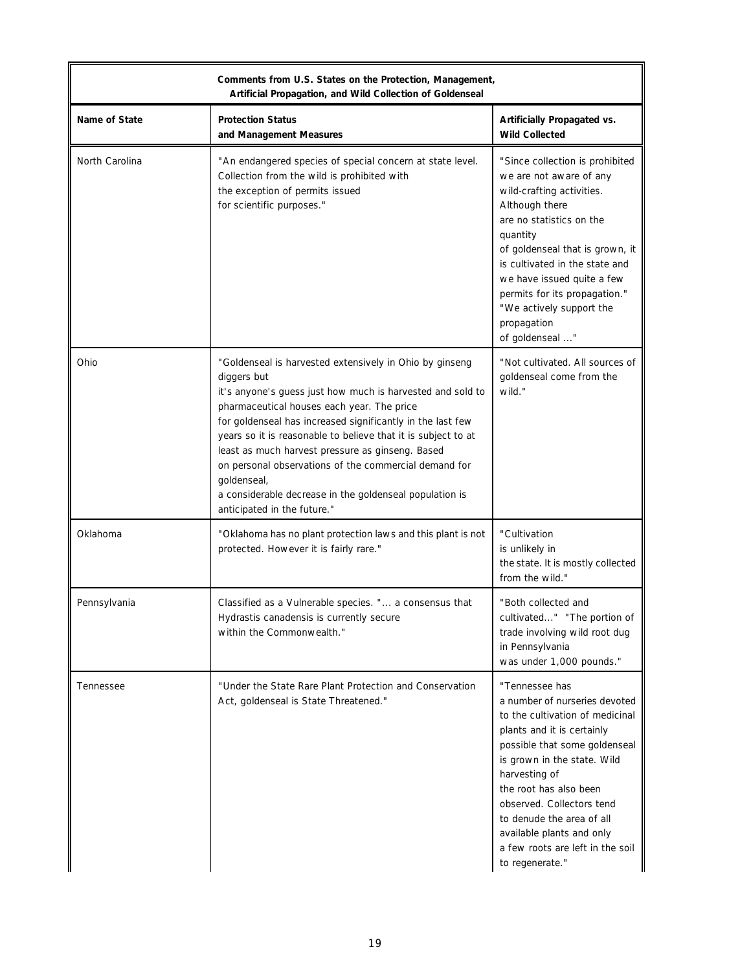|                | Comments from U.S. States on the Protection, Management,<br>Artificial Propagation, and Wild Collection of Goldenseal                                                                                                                                                                                                                                                                                                                                                                                                                   |                                                                                                                                                                                                                                                                                                                                                                           |
|----------------|-----------------------------------------------------------------------------------------------------------------------------------------------------------------------------------------------------------------------------------------------------------------------------------------------------------------------------------------------------------------------------------------------------------------------------------------------------------------------------------------------------------------------------------------|---------------------------------------------------------------------------------------------------------------------------------------------------------------------------------------------------------------------------------------------------------------------------------------------------------------------------------------------------------------------------|
| Name of State  | <b>Protection Status</b><br>and Management Measures                                                                                                                                                                                                                                                                                                                                                                                                                                                                                     | Artificially Propagated vs.<br><b>Wild Collected</b>                                                                                                                                                                                                                                                                                                                      |
| North Carolina | "An endangered species of special concern at state level.<br>Collection from the wild is prohibited with<br>the exception of permits issued<br>for scientific purposes."                                                                                                                                                                                                                                                                                                                                                                | "Since collection is prohibited<br>we are not aware of any<br>wild-crafting activities.<br>Although there<br>are no statistics on the<br>quantity<br>of goldenseal that is grown, it<br>is cultivated in the state and<br>we have issued quite a few<br>permits for its propagation."<br>"We actively support the<br>propagation<br>of goldenseal "                       |
| Ohio           | "Goldenseal is harvested extensively in Ohio by ginseng<br>diggers but<br>it's anyone's guess just how much is harvested and sold to<br>pharmaceutical houses each year. The price<br>for goldenseal has increased significantly in the last few<br>years so it is reasonable to believe that it is subject to at<br>least as much harvest pressure as ginseng. Based<br>on personal observations of the commercial demand for<br>qoldenseal,<br>a considerable decrease in the goldenseal population is<br>anticipated in the future." | "Not cultivated. All sources of<br>goldenseal come from the<br>wild."                                                                                                                                                                                                                                                                                                     |
| Oklahoma       | "Oklahoma has no plant protection laws and this plant is not<br>protected. However it is fairly rare."                                                                                                                                                                                                                                                                                                                                                                                                                                  | "Cultivation<br>is unlikely in<br>the state. It is mostly collected<br>from the wild."                                                                                                                                                                                                                                                                                    |
| Pennsylvania   | Classified as a Vulnerable species. " a consensus that<br>Hydrastis canadensis is currently secure<br>within the Commonwealth."                                                                                                                                                                                                                                                                                                                                                                                                         | "Both collected and<br>cultivated" "The portion of<br>trade involving wild root dug<br>in Pennsylvania<br>was under 1,000 pounds."                                                                                                                                                                                                                                        |
| Tennessee      | "Under the State Rare Plant Protection and Conservation<br>Act, goldenseal is State Threatened."                                                                                                                                                                                                                                                                                                                                                                                                                                        | "Tennessee has<br>a number of nurseries devoted<br>to the cultivation of medicinal<br>plants and it is certainly<br>possible that some goldenseal<br>is grown in the state. Wild<br>harvesting of<br>the root has also been<br>observed. Collectors tend<br>to denude the area of all<br>available plants and only<br>a few roots are left in the soil<br>to regenerate." |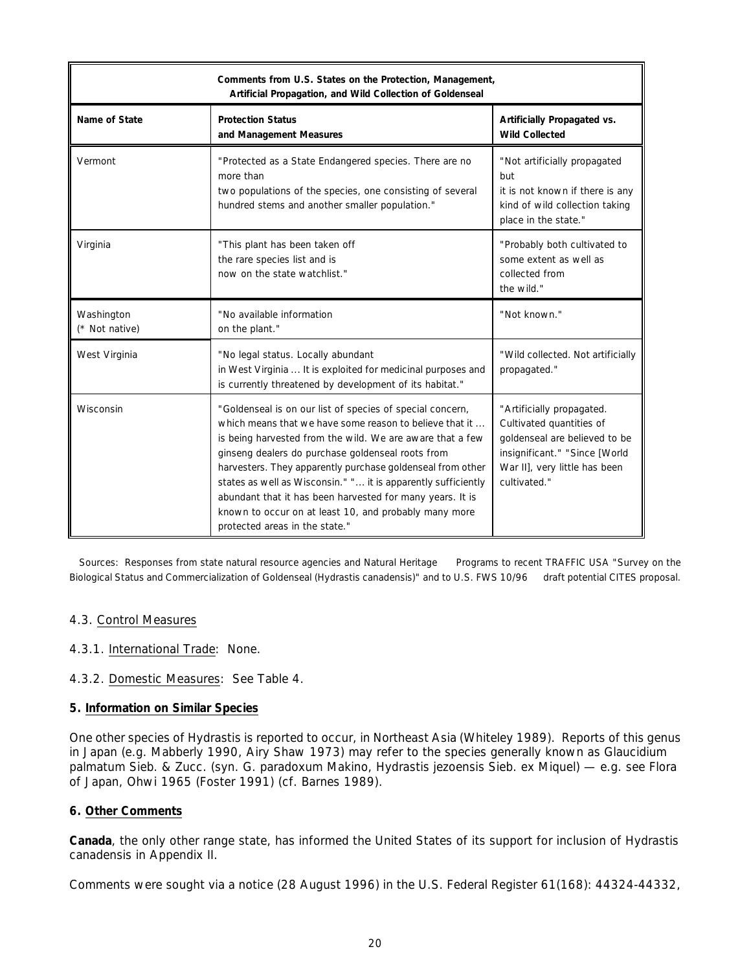| Comments from U.S. States on the Protection, Management,<br>Artificial Propagation, and Wild Collection of Goldenseal |                                                                                                                                                                                                                                                                                                                                                                                                                                                                                                                               |                                                                                                                                                                          |
|-----------------------------------------------------------------------------------------------------------------------|-------------------------------------------------------------------------------------------------------------------------------------------------------------------------------------------------------------------------------------------------------------------------------------------------------------------------------------------------------------------------------------------------------------------------------------------------------------------------------------------------------------------------------|--------------------------------------------------------------------------------------------------------------------------------------------------------------------------|
| Name of State                                                                                                         | <b>Protection Status</b><br>and Management Measures                                                                                                                                                                                                                                                                                                                                                                                                                                                                           | Artificially Propagated vs.<br><b>Wild Collected</b>                                                                                                                     |
| Vermont                                                                                                               | "Protected as a State Endangered species. There are no<br>more than<br>two populations of the species, one consisting of several<br>hundred stems and another smaller population."                                                                                                                                                                                                                                                                                                                                            | "Not artificially propagated<br>but<br>it is not known if there is any<br>kind of wild collection taking<br>place in the state."                                         |
| Virginia                                                                                                              | "This plant has been taken off<br>the rare species list and is<br>now on the state watchlist."                                                                                                                                                                                                                                                                                                                                                                                                                                | "Probably both cultivated to<br>some extent as well as<br>collected from<br>the wild."                                                                                   |
| Washington<br>(* Not native)                                                                                          | "No available information<br>on the plant."                                                                                                                                                                                                                                                                                                                                                                                                                                                                                   | "Not known."                                                                                                                                                             |
| West Virginia                                                                                                         | "No legal status. Locally abundant<br>in West Virginia  It is exploited for medicinal purposes and<br>is currently threatened by development of its habitat."                                                                                                                                                                                                                                                                                                                                                                 | "Wild collected. Not artificially<br>propagated."                                                                                                                        |
| Wisconsin                                                                                                             | "Goldenseal is on our list of species of special concern,<br>which means that we have some reason to believe that it<br>is being harvested from the wild. We are aware that a few<br>ginseng dealers do purchase goldenseal roots from<br>harvesters. They apparently purchase goldenseal from other<br>states as well as Wisconsin." " it is apparently sufficiently<br>abundant that it has been harvested for many years. It is<br>known to occur on at least 10, and probably many more<br>protected areas in the state." | "Artificially propagated.<br>Cultivated quantities of<br>goldenseal are believed to be<br>insignificant." "Since [World<br>War II], very little has been<br>cultivated." |

 Sources: Responses from state natural resource agencies and Natural Heritage Programs to recent TRAFFIC USA "Survey on the Biological Status and Commercialization of Goldenseal (*Hydrastis canadensis*)" and to U.S. FWS 10/96 draft potential CITES proposal.

# 4.3. Control Measures

- 4.3.1. International Trade: None.
- 4.3.2. Domestic Measures: See Table 4.

#### **5. Information on Similar Species**

One other species of *Hydrastis* is reported to occur, in Northeast Asia (Whiteley 1989). Reports of this genus in Japan (*e*.*g*. Mabberly 1990, Airy Shaw 1973) may refer to the species generally known as *Glaucidium palmatum* Sieb. & Zucc. (syn. *G. paradoxum* Makino, *Hydrastis jezoensis* Sieb. *ex* Miquel) — *e*.*g*. see *Flora of Japan*, Ohwi 1965 (Foster 1991) (*cf*. Barnes 1989).

#### **6. Other Comments**

**Canada**, the only other range state, has informed the United States of its support for inclusion of *Hydrastis canadensis* in Appendix II.

Comments were sought via a notice (28 August 1996) in the U.S. *Federal Register* 61(168): 44324-44332,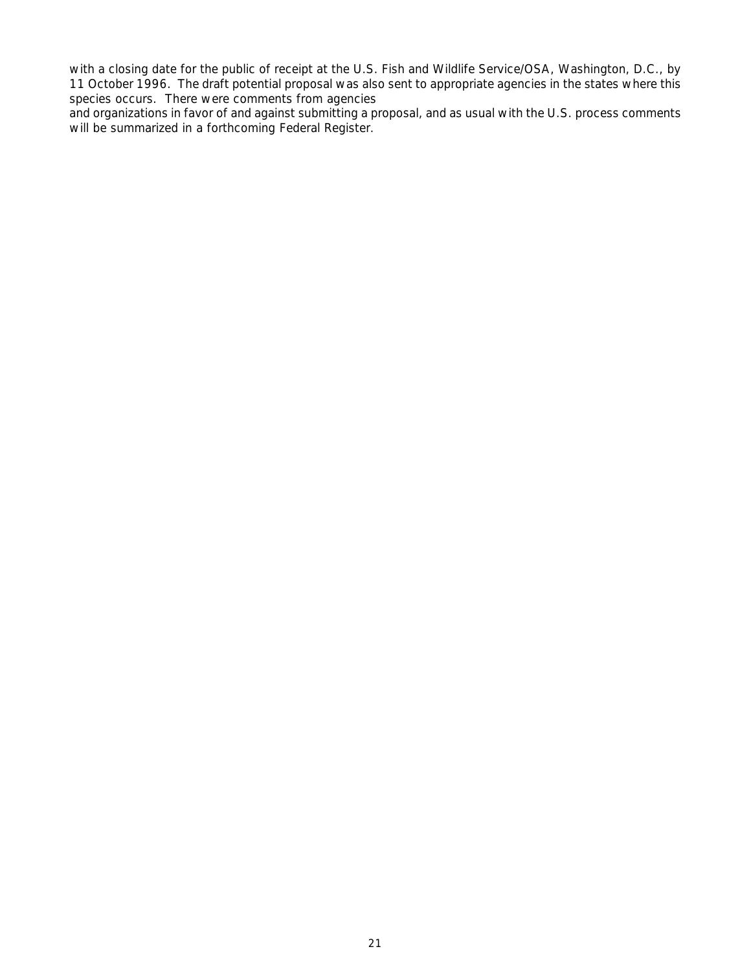with a closing date for the public of receipt at the U.S. Fish and Wildlife Service/OSA, Washington, D.C., by 11 October 1996. The draft potential proposal was also sent to appropriate agencies in the states where this species occurs. There were comments from agencies

and organizations in favor of and against submitting a proposal, and as usual with the U.S. process comments will be summarized in a forthcoming *Federal Register*.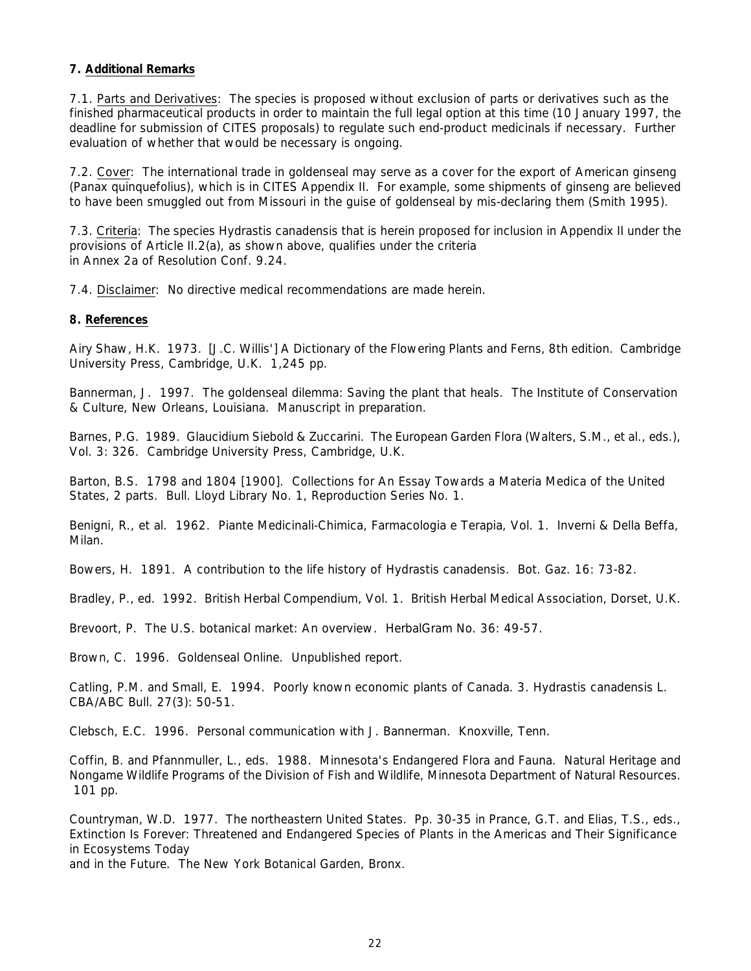#### **7. Additional Remarks**

7.1. Parts and Derivatives: The species is proposed without exclusion of parts or derivatives such as the finished pharmaceutical products in order to maintain the full legal option at this time (10 January 1997, the deadline for submission of CITES proposals) to regulate such end-product medicinals if necessary. Further evaluation of whether that would be necessary is ongoing.

7.2. Cover: The international trade in goldenseal may serve as a cover for the export of American ginseng (*Panax quinquefolius*), which is in CITES Appendix II. For example, some shipments of ginseng are believed to have been smuggled out from Missouri in the guise of goldenseal by mis-declaring them (Smith 1995).

7.3. Criteria: The species *Hydrastis canadensis* that is herein proposed for inclusion in Appendix II under the provisions of Article II.2(a), as shown above, qualifies under the criteria in Annex 2a of Resolution Conf. 9.24.

7.4. Disclaimer: No directive medical recommendations are made herein.

#### **8. References**

Airy Shaw, H.K. 1973. *[J.C. Willis'] A Dictionary of the Flowering Plants and Ferns*, 8th edition. Cambridge University Press, Cambridge, U.K. 1,245 pp.

Bannerman, J. 1997. The goldenseal dilemma: Saving the plant that heals. The Institute of Conservation & Culture, New Orleans, Louisiana. Manuscript in preparation.

Barnes, P.G. 1989. *Glaucidium* Siebold & Zuccarini. *The European Garden Flora* (Walters, S.M., *et al*., eds.), Vol. 3: 326. Cambridge University Press, Cambridge, U.K.

Barton, B.S. 1798 and 1804 [1900]. *Collections for An Essay Towards a Materia Medica of the United States*, 2 parts. Bull. Lloyd Library No. 1, Reproduction Series No. 1.

Benigni, R., *et al*. 1962. *Piante Medicinali-Chimica, Farmacologia e Terapia*, Vol. 1. Inverni & Della Beffa, Milan.

Bowers, H. 1891. A contribution to the life history of *Hydrastis canadensis*. *Bot. Gaz*. 16: 73-82.

Bradley, P., ed. 1992. *British Herbal Compendium*, Vol. 1. British Herbal Medical Association, Dorset, U.K.

Brevoort, P. The U.S. botanical market: An overview. *HerbalGram* No. 36: 49-57.

Brown, C. 1996. Goldenseal Online. Unpublished report.

Catling, P.M. and Small, E. 1994. Poorly known economic plants of Canada. 3. *Hydrastis canadensis* L. *CBA/ABC Bull.* 27(3): 50-51.

Clebsch, E.C. 1996. Personal communication with J. Bannerman. Knoxville, Tenn.

Coffin, B. and Pfannmuller, L., eds. 1988. *Minnesota's Endangered Flora and Fauna*. Natural Heritage and Nongame Wildlife Programs of the Division of Fish and Wildlife, Minnesota Department of Natural Resources. 101 pp.

Countryman, W.D. 1977. The northeastern United States. Pp. 30-35 in Prance, G.T. and Elias, T.S., eds., *Extinction Is Forever: Threatened and Endangered Species of Plants in the Americas and Their Significance in Ecosystems Today* 

*and in the Future*. The New York Botanical Garden, Bronx.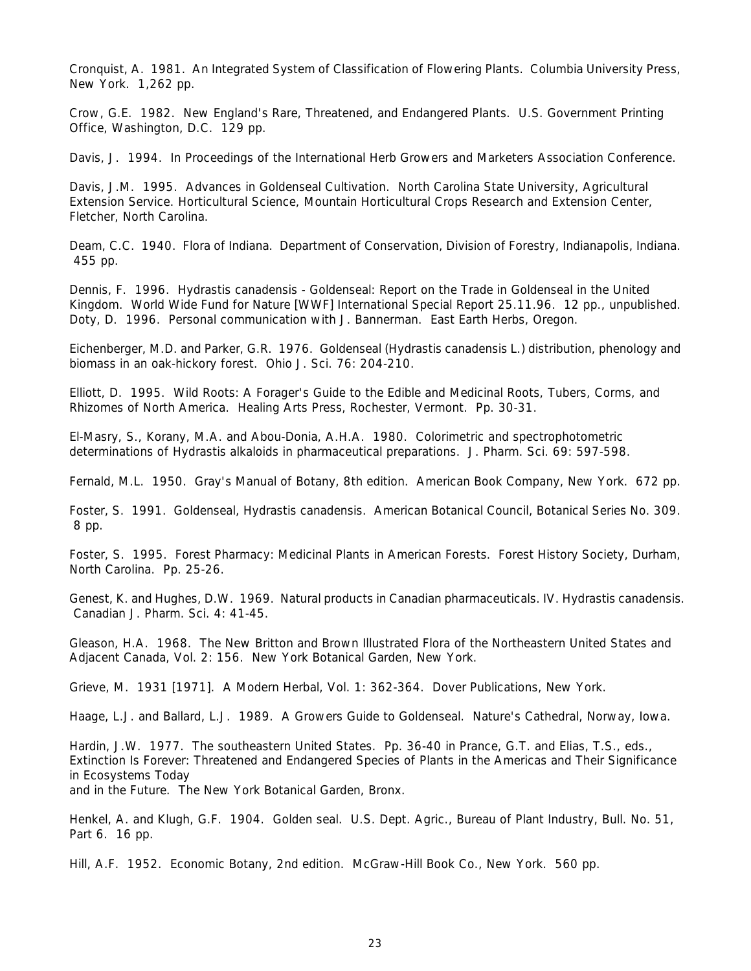Cronquist, A. 1981. *An Integrated System of Classification of Flowering Plants*. Columbia University Press, New York. 1,262 pp.

Crow, G.E. 1982. *New England's Rare, Threatened, and Endangered Plants*. U.S. Government Printing Office, Washington, D.C. 129 pp.

Davis, J. 1994. In *Proceedings of the International Herb Growers and Marketers Association Conference*.

Davis, J.M. 1995. *Advances in Goldenseal Cultivation*. North Carolina State University, Agricultural Extension Service. Horticultural Science, Mountain Horticultural Crops Research and Extension Center, Fletcher, North Carolina.

Deam, C.C. 1940. *Flora of Indiana*. Department of Conservation, Division of Forestry, Indianapolis, Indiana. 455 pp.

Dennis, F. 1996. Hydrastis canadensis *- Goldenseal: Report on the Trade in Goldenseal in the United Kingdom*. World Wide Fund for Nature [WWF] International Special Report 25.11.96. 12 pp., unpublished. Doty, D. 1996. Personal communication with J. Bannerman. East Earth Herbs, Oregon.

Eichenberger, M.D. and Parker, G.R. 1976. Goldenseal (*Hydrastis canadensis* L.) distribution, phenology and biomass in an oak-hickory forest. *Ohio J. Sci*. 76: 204-210.

Elliott, D. 1995. *Wild Roots: A Forager's Guide to the Edible and Medicinal Roots, Tubers, Corms, and Rhizomes of North America*. Healing Arts Press, Rochester, Vermont. Pp. 30-31.

El-Masry, S., Korany, M.A. and Abou-Donia, A.H.A. 1980. Colorimetric and spectrophotometric determinations of *Hydrastis* alkaloids in pharmaceutical preparations. *J. Pharm. Sci*. 69: 597-598.

Fernald, M.L. 1950. *Gray's Manual of Botany*, 8th edition. American Book Company, New York. 672 pp.

Foster, S. 1991. Goldenseal, *Hydrastis canadensis*. American Botanical Council, Botanical Series No. 309. 8 pp.

Foster, S. 1995. *Forest Pharmacy: Medicinal Plants in American Forests*. Forest History Society, Durham, North Carolina. Pp. 25-26.

Genest, K. and Hughes, D.W. 1969. Natural products in Canadian pharmaceuticals. IV. *Hydrastis canadensis*. *Canadian J. Pharm. Sci*. 4: 41-45.

Gleason, H.A. 1968. *The New Britton and Brown Illustrated Flora of the Northeastern United States and Adjacent Canada*, Vol. 2: 156. New York Botanical Garden, New York.

Grieve, M. 1931 [1971]. *A Modern Herbal*, Vol. 1: 362-364. Dover Publications, New York.

Haage, L.J. and Ballard, L.J. 1989. *A Growers Guide to Goldenseal*. Nature's Cathedral, Norway, Iowa.

Hardin, J.W. 1977. The southeastern United States. Pp. 36-40 in Prance, G.T. and Elias, T.S., eds., *Extinction Is Forever: Threatened and Endangered Species of Plants in the Americas and Their Significance in Ecosystems Today and in the Future*. The New York Botanical Garden, Bronx.

Henkel, A. and Klugh, G.F. 1904. *Golden seal*. U.S. Dept. Agric., Bureau of Plant Industry, Bull. No. 51, Part 6. 16 pp.

Hill, A.F. 1952. *Economic Botany*, 2nd edition. McGraw-Hill Book Co., New York. 560 pp.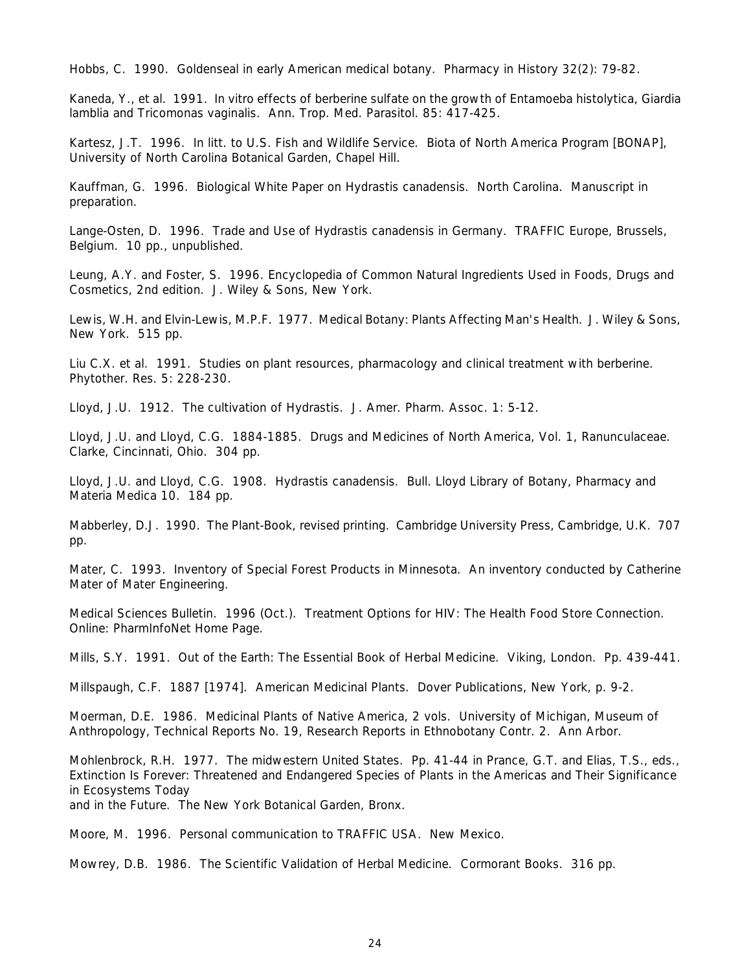Hobbs, C. 1990. Goldenseal in early American medical botany. *Pharmacy in History* 32(2): 79-82.

Kaneda, Y., *et al*. 1991. *In vitro* effects of berberine sulfate on the growth of *Entamoeba histolytica, Giardia lamblia* and *Tricomonas vaginalis*. *Ann. Trop. Med. Parasitol*. 85: 417-425.

Kartesz, J.T. 1996. *In litt*. to U.S. Fish and Wildlife Service. Biota of North America Program [BONAP], University of North Carolina Botanical Garden, Chapel Hill.

Kauffman, G. 1996. Biological White Paper on *Hydrastis canadensis*. North Carolina. Manuscript in preparation.

Lange-Osten, D. 1996. *Trade and Use of* Hydrastis canadensis *in Germany*. TRAFFIC Europe, Brussels, Belgium. 10 pp., unpublished.

Leung, A.Y. and Foster, S. 1996. *Encyclopedia of Common Natural Ingredients Used in Foods, Drugs and Cosmetics*, 2nd edition. J. Wiley & Sons, New York.

Lewis, W.H. and Elvin-Lewis, M.P.F. 1977. *Medical Botany: Plants Affecting Man's Health*. J. Wiley & Sons, New York. 515 pp.

Liu C.X. *et al*. 1991. Studies on plant resources, pharmacology and clinical treatment with berberine. *Phytother. Res*. 5: 228-230.

Lloyd, J.U. 1912. The cultivation of *Hydrastis*. *J. Amer. Pharm. Assoc.* 1: 5-12.

Lloyd, J.U. and Lloyd, C.G. 1884-1885. *Drugs and Medicines of North America*, Vol. 1, Ranunculaceae. Clarke, Cincinnati, Ohio. 304 pp.

Lloyd, J.U. and Lloyd, C.G. 1908. *Hydrastis canadensis*. Bull. Lloyd Library of Botany, Pharmacy and Materia Medica 10. 184 pp.

Mabberley, D.J. 1990. *The Plant-Book*, revised printing. Cambridge University Press, Cambridge, U.K. 707 pp.

Mater, C. 1993. *Inventory of Special Forest Products in Minnesota*. An inventory conducted by Catherine Mater of Mater Engineering.

Medical Sciences Bulletin. 1996 (Oct.). Treatment Options for HIV: The Health Food Store Connection. Online: PharmInfoNet Home Page.

Mills, S.Y. 1991. *Out of the Earth: The Essential Book of Herbal Medicine*. Viking, London. Pp. 439-441.

Millspaugh, C.F. 1887 [1974]. *American Medicinal Plants*. Dover Publications, New York, p. 9-2.

Moerman, D.E. 1986. *Medicinal Plants of Native America*, 2 vols. University of Michigan, Museum of Anthropology, Technical Reports No. 19, Research Reports in Ethnobotany Contr. 2. Ann Arbor.

Mohlenbrock, R.H. 1977. The midwestern United States. Pp. 41-44 in Prance, G.T. and Elias, T.S., eds., *Extinction Is Forever: Threatened and Endangered Species of Plants in the Americas and Their Significance in Ecosystems Today* 

*and in the Future*. The New York Botanical Garden, Bronx.

Moore, M. 1996. Personal communication to TRAFFIC USA. New Mexico.

Mowrey, D.B. 1986. *The Scientific Validation of Herbal Medicine*. Cormorant Books. 316 pp.